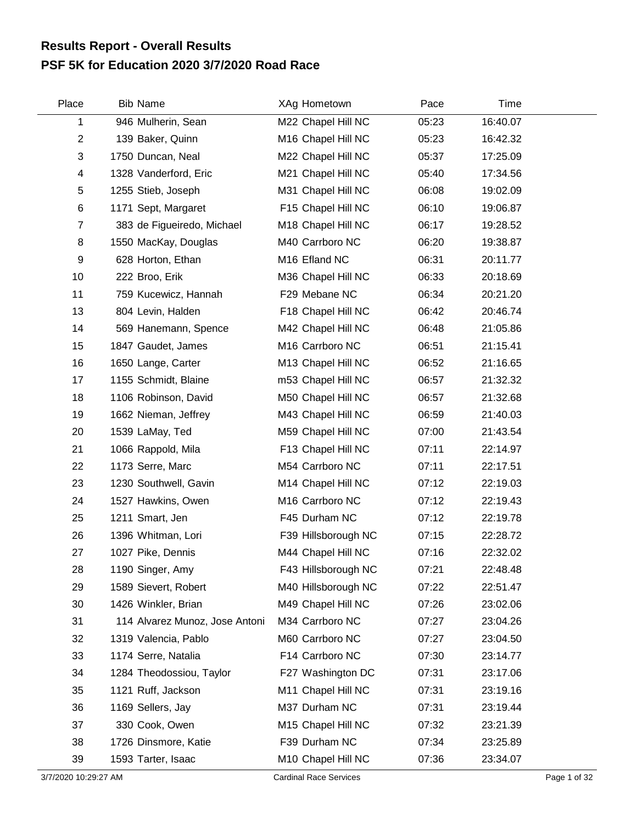## **PSF 5K for Education 2020 3/7/2020 Road Race Results Report - Overall Results**

| Place            | <b>Bib Name</b>                | XAg Hometown                | Pace  | Time     |  |
|------------------|--------------------------------|-----------------------------|-------|----------|--|
| 1                | 946 Mulherin, Sean             | M22 Chapel Hill NC          | 05:23 | 16:40.07 |  |
| $\overline{2}$   | 139 Baker, Quinn               | M16 Chapel Hill NC          | 05:23 | 16:42.32 |  |
| 3                | 1750 Duncan, Neal              | M22 Chapel Hill NC          | 05:37 | 17:25.09 |  |
| 4                | 1328 Vanderford, Eric          | M21 Chapel Hill NC          | 05:40 | 17:34.56 |  |
| 5                | 1255 Stieb, Joseph             | M31 Chapel Hill NC          | 06:08 | 19:02.09 |  |
| 6                | 1171 Sept, Margaret            | F15 Chapel Hill NC          | 06:10 | 19:06.87 |  |
| 7                | 383 de Figueiredo, Michael     | M18 Chapel Hill NC          | 06:17 | 19:28.52 |  |
| 8                | 1550 MacKay, Douglas           | M40 Carrboro NC             | 06:20 | 19:38.87 |  |
| $\boldsymbol{9}$ | 628 Horton, Ethan              | M <sub>16</sub> Efland NC   | 06:31 | 20:11.77 |  |
| 10               | 222 Broo, Erik                 | M36 Chapel Hill NC          | 06:33 | 20:18.69 |  |
| 11               | 759 Kucewicz, Hannah           | F29 Mebane NC               | 06:34 | 20:21.20 |  |
| 13               | 804 Levin, Halden              | F18 Chapel Hill NC          | 06:42 | 20:46.74 |  |
| 14               | 569 Hanemann, Spence           | M42 Chapel Hill NC          | 06:48 | 21:05.86 |  |
| 15               | 1847 Gaudet, James             | M <sub>16</sub> Carrboro NC | 06:51 | 21:15.41 |  |
| 16               | 1650 Lange, Carter             | M13 Chapel Hill NC          | 06:52 | 21:16.65 |  |
| 17               | 1155 Schmidt, Blaine           | m53 Chapel Hill NC          | 06:57 | 21:32.32 |  |
| 18               | 1106 Robinson, David           | M50 Chapel Hill NC          | 06:57 | 21:32.68 |  |
| 19               | 1662 Nieman, Jeffrey           | M43 Chapel Hill NC          | 06:59 | 21:40.03 |  |
| 20               | 1539 LaMay, Ted                | M59 Chapel Hill NC          | 07:00 | 21:43.54 |  |
| 21               | 1066 Rappold, Mila             | F13 Chapel Hill NC          | 07:11 | 22:14.97 |  |
| 22               | 1173 Serre, Marc               | M54 Carrboro NC             | 07:11 | 22:17.51 |  |
| 23               | 1230 Southwell, Gavin          | M14 Chapel Hill NC          | 07:12 | 22:19.03 |  |
| 24               | 1527 Hawkins, Owen             | M <sub>16</sub> Carrboro NC | 07:12 | 22:19.43 |  |
| 25               | 1211 Smart, Jen                | F45 Durham NC               | 07:12 | 22:19.78 |  |
| 26               | 1396 Whitman, Lori             | F39 Hillsborough NC         | 07:15 | 22:28.72 |  |
| 27               | 1027 Pike, Dennis              | M44 Chapel Hill NC          | 07:16 | 22:32.02 |  |
| 28               | 1190 Singer, Amy               | F43 Hillsborough NC         | 07:21 | 22:48.48 |  |
| 29               | 1589 Sievert, Robert           | M40 Hillsborough NC         | 07:22 | 22:51.47 |  |
| 30               | 1426 Winkler, Brian            | M49 Chapel Hill NC          | 07:26 | 23:02.06 |  |
| 31               | 114 Alvarez Munoz, Jose Antoni | M34 Carrboro NC             | 07:27 | 23:04.26 |  |
| 32               | 1319 Valencia, Pablo           | M60 Carrboro NC             | 07:27 | 23:04.50 |  |
| 33               | 1174 Serre, Natalia            | F14 Carrboro NC             | 07:30 | 23:14.77 |  |
| 34               | 1284 Theodossiou, Taylor       | F27 Washington DC           | 07:31 | 23:17.06 |  |
| 35               | 1121 Ruff, Jackson             | M11 Chapel Hill NC          | 07:31 | 23:19.16 |  |
| 36               | 1169 Sellers, Jay              | M37 Durham NC               | 07:31 | 23:19.44 |  |
| 37               | 330 Cook, Owen                 | M15 Chapel Hill NC          | 07:32 | 23:21.39 |  |
| 38               | 1726 Dinsmore, Katie           | F39 Durham NC               | 07:34 | 23:25.89 |  |
| 39               | 1593 Tarter, Isaac             | M10 Chapel Hill NC          | 07:36 | 23:34.07 |  |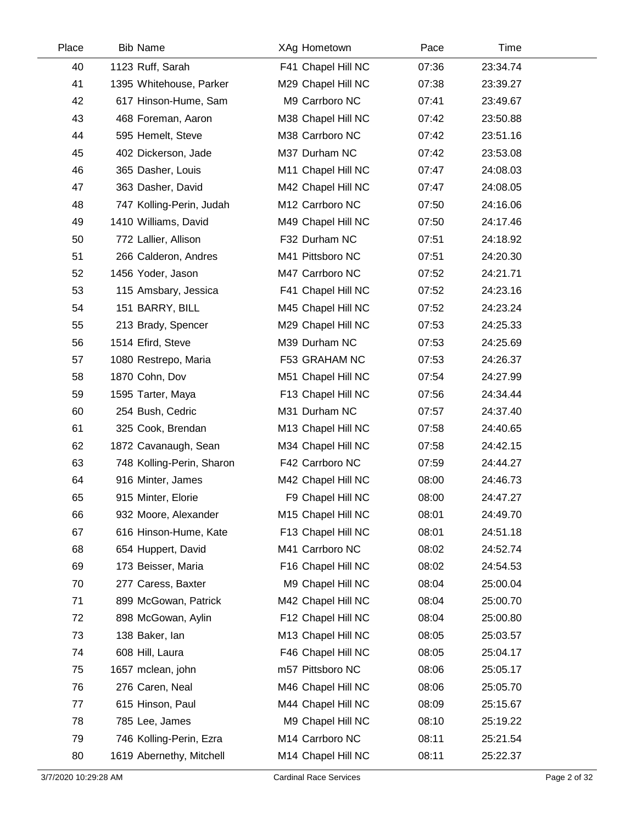| Place | <b>Bib Name</b>           | XAg Hometown       | Pace  | Time     |  |
|-------|---------------------------|--------------------|-------|----------|--|
| 40    | 1123 Ruff, Sarah          | F41 Chapel Hill NC | 07:36 | 23:34.74 |  |
| 41    | 1395 Whitehouse, Parker   | M29 Chapel Hill NC | 07:38 | 23:39.27 |  |
| 42    | 617 Hinson-Hume, Sam      | M9 Carrboro NC     | 07:41 | 23:49.67 |  |
| 43    | 468 Foreman, Aaron        | M38 Chapel Hill NC | 07:42 | 23:50.88 |  |
| 44    | 595 Hemelt, Steve         | M38 Carrboro NC    | 07:42 | 23:51.16 |  |
| 45    | 402 Dickerson, Jade       | M37 Durham NC      | 07:42 | 23:53.08 |  |
| 46    | 365 Dasher, Louis         | M11 Chapel Hill NC | 07:47 | 24:08.03 |  |
| 47    | 363 Dasher, David         | M42 Chapel Hill NC | 07:47 | 24:08.05 |  |
| 48    | 747 Kolling-Perin, Judah  | M12 Carrboro NC    | 07:50 | 24:16.06 |  |
| 49    | 1410 Williams, David      | M49 Chapel Hill NC | 07:50 | 24:17.46 |  |
| 50    | 772 Lallier, Allison      | F32 Durham NC      | 07:51 | 24:18.92 |  |
| 51    | 266 Calderon, Andres      | M41 Pittsboro NC   | 07:51 | 24:20.30 |  |
| 52    | 1456 Yoder, Jason         | M47 Carrboro NC    | 07:52 | 24:21.71 |  |
| 53    | 115 Amsbary, Jessica      | F41 Chapel Hill NC | 07:52 | 24:23.16 |  |
| 54    | 151 BARRY, BILL           | M45 Chapel Hill NC | 07:52 | 24:23.24 |  |
| 55    | 213 Brady, Spencer        | M29 Chapel Hill NC | 07:53 | 24:25.33 |  |
| 56    | 1514 Efird, Steve         | M39 Durham NC      | 07:53 | 24:25.69 |  |
| 57    | 1080 Restrepo, Maria      | F53 GRAHAM NC      | 07:53 | 24:26.37 |  |
| 58    | 1870 Cohn, Dov            | M51 Chapel Hill NC | 07:54 | 24:27.99 |  |
| 59    | 1595 Tarter, Maya         | F13 Chapel Hill NC | 07:56 | 24:34.44 |  |
| 60    | 254 Bush, Cedric          | M31 Durham NC      | 07:57 | 24:37.40 |  |
| 61    | 325 Cook, Brendan         | M13 Chapel Hill NC | 07:58 | 24:40.65 |  |
| 62    | 1872 Cavanaugh, Sean      | M34 Chapel Hill NC | 07:58 | 24:42.15 |  |
| 63    | 748 Kolling-Perin, Sharon | F42 Carrboro NC    | 07:59 | 24:44.27 |  |
| 64    | 916 Minter, James         | M42 Chapel Hill NC | 08:00 | 24:46.73 |  |
| 65    | 915 Minter, Elorie        | F9 Chapel Hill NC  | 08:00 | 24:47.27 |  |
| 66    | 932 Moore, Alexander      | M15 Chapel Hill NC | 08:01 | 24:49.70 |  |
| 67    | 616 Hinson-Hume, Kate     | F13 Chapel Hill NC | 08:01 | 24:51.18 |  |
| 68    | 654 Huppert, David        | M41 Carrboro NC    | 08:02 | 24:52.74 |  |
| 69    | 173 Beisser, Maria        | F16 Chapel Hill NC | 08:02 | 24:54.53 |  |
| 70    | 277 Caress, Baxter        | M9 Chapel Hill NC  | 08:04 | 25:00.04 |  |
| 71    | 899 McGowan, Patrick      | M42 Chapel Hill NC | 08:04 | 25:00.70 |  |
| 72    | 898 McGowan, Aylin        | F12 Chapel Hill NC | 08:04 | 25:00.80 |  |
| 73    | 138 Baker, lan            | M13 Chapel Hill NC | 08:05 | 25:03.57 |  |
| 74    | 608 Hill, Laura           | F46 Chapel Hill NC | 08:05 | 25:04.17 |  |
| 75    | 1657 mclean, john         | m57 Pittsboro NC   | 08:06 | 25:05.17 |  |
| 76    | 276 Caren, Neal           | M46 Chapel Hill NC | 08:06 | 25:05.70 |  |
| 77    | 615 Hinson, Paul          | M44 Chapel Hill NC | 08:09 | 25:15.67 |  |
| 78    | 785 Lee, James            | M9 Chapel Hill NC  | 08:10 | 25:19.22 |  |
| 79    | 746 Kolling-Perin, Ezra   | M14 Carrboro NC    | 08:11 | 25:21.54 |  |
| 80    | 1619 Abernethy, Mitchell  | M14 Chapel Hill NC | 08:11 | 25:22.37 |  |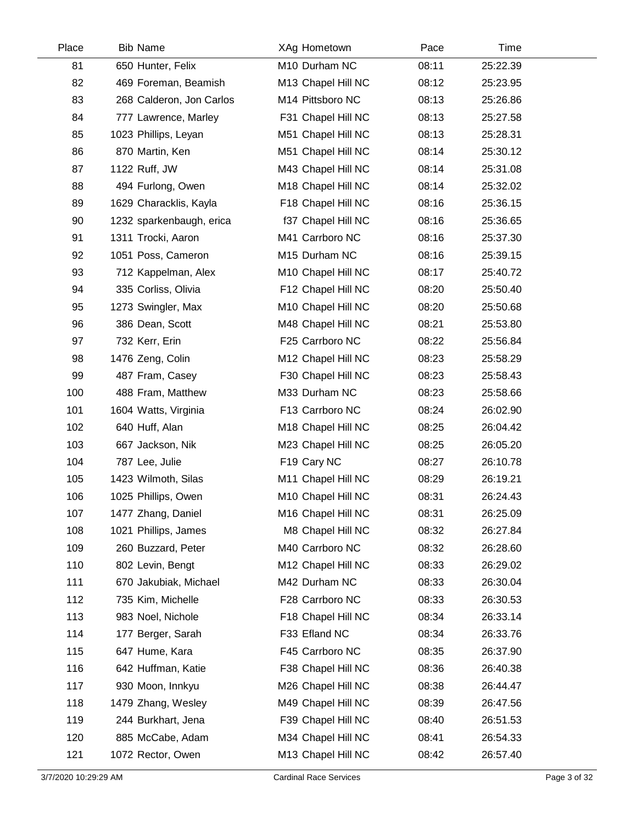| Place | <b>Bib Name</b>          | XAg Hometown       | Pace  | Time     |  |
|-------|--------------------------|--------------------|-------|----------|--|
| 81    | 650 Hunter, Felix        | M10 Durham NC      | 08:11 | 25:22.39 |  |
| 82    | 469 Foreman, Beamish     | M13 Chapel Hill NC | 08:12 | 25:23.95 |  |
| 83    | 268 Calderon, Jon Carlos | M14 Pittsboro NC   | 08:13 | 25:26.86 |  |
| 84    | 777 Lawrence, Marley     | F31 Chapel Hill NC | 08:13 | 25:27.58 |  |
| 85    | 1023 Phillips, Leyan     | M51 Chapel Hill NC | 08:13 | 25:28.31 |  |
| 86    | 870 Martin, Ken          | M51 Chapel Hill NC | 08:14 | 25:30.12 |  |
| 87    | 1122 Ruff, JW            | M43 Chapel Hill NC | 08:14 | 25:31.08 |  |
| 88    | 494 Furlong, Owen        | M18 Chapel Hill NC | 08:14 | 25:32.02 |  |
| 89    | 1629 Characklis, Kayla   | F18 Chapel Hill NC | 08:16 | 25:36.15 |  |
| 90    | 1232 sparkenbaugh, erica | f37 Chapel Hill NC | 08:16 | 25:36.65 |  |
| 91    | 1311 Trocki, Aaron       | M41 Carrboro NC    | 08:16 | 25:37.30 |  |
| 92    | 1051 Poss, Cameron       | M15 Durham NC      | 08:16 | 25:39.15 |  |
| 93    | 712 Kappelman, Alex      | M10 Chapel Hill NC | 08:17 | 25:40.72 |  |
| 94    | 335 Corliss, Olivia      | F12 Chapel Hill NC | 08:20 | 25:50.40 |  |
| 95    | 1273 Swingler, Max       | M10 Chapel Hill NC | 08:20 | 25:50.68 |  |
| 96    | 386 Dean, Scott          | M48 Chapel Hill NC | 08:21 | 25:53.80 |  |
| 97    | 732 Kerr, Erin           | F25 Carrboro NC    | 08:22 | 25:56.84 |  |
| 98    | 1476 Zeng, Colin         | M12 Chapel Hill NC | 08:23 | 25:58.29 |  |
| 99    | 487 Fram, Casey          | F30 Chapel Hill NC | 08:23 | 25:58.43 |  |
| 100   | 488 Fram, Matthew        | M33 Durham NC      | 08:23 | 25:58.66 |  |
| 101   | 1604 Watts, Virginia     | F13 Carrboro NC    | 08:24 | 26:02.90 |  |
| 102   | 640 Huff, Alan           | M18 Chapel Hill NC | 08:25 | 26:04.42 |  |
| 103   | 667 Jackson, Nik         | M23 Chapel Hill NC | 08:25 | 26:05.20 |  |
| 104   | 787 Lee, Julie           | F19 Cary NC        | 08:27 | 26:10.78 |  |
| 105   | 1423 Wilmoth, Silas      | M11 Chapel Hill NC | 08:29 | 26:19.21 |  |
| 106   | 1025 Phillips, Owen      | M10 Chapel Hill NC | 08:31 | 26:24.43 |  |
| 107   | 1477 Zhang, Daniel       | M16 Chapel Hill NC | 08:31 | 26:25.09 |  |
| 108   | 1021 Phillips, James     | M8 Chapel Hill NC  | 08:32 | 26:27.84 |  |
| 109   | 260 Buzzard, Peter       | M40 Carrboro NC    | 08:32 | 26:28.60 |  |
| 110   | 802 Levin, Bengt         | M12 Chapel Hill NC | 08:33 | 26:29.02 |  |
| 111   | 670 Jakubiak, Michael    | M42 Durham NC      | 08:33 | 26:30.04 |  |
| 112   | 735 Kim, Michelle        | F28 Carrboro NC    | 08:33 | 26:30.53 |  |
| 113   | 983 Noel, Nichole        | F18 Chapel Hill NC | 08:34 | 26:33.14 |  |
| 114   | 177 Berger, Sarah        | F33 Efland NC      | 08:34 | 26:33.76 |  |
| 115   | 647 Hume, Kara           | F45 Carrboro NC    | 08:35 | 26:37.90 |  |
| 116   | 642 Huffman, Katie       | F38 Chapel Hill NC | 08:36 | 26:40.38 |  |
| 117   | 930 Moon, Innkyu         | M26 Chapel Hill NC | 08:38 | 26:44.47 |  |
| 118   | 1479 Zhang, Wesley       | M49 Chapel Hill NC | 08:39 | 26:47.56 |  |
| 119   | 244 Burkhart, Jena       | F39 Chapel Hill NC | 08:40 | 26:51.53 |  |
| 120   | 885 McCabe, Adam         | M34 Chapel Hill NC | 08:41 | 26:54.33 |  |
| 121   | 1072 Rector, Owen        | M13 Chapel Hill NC | 08:42 | 26:57.40 |  |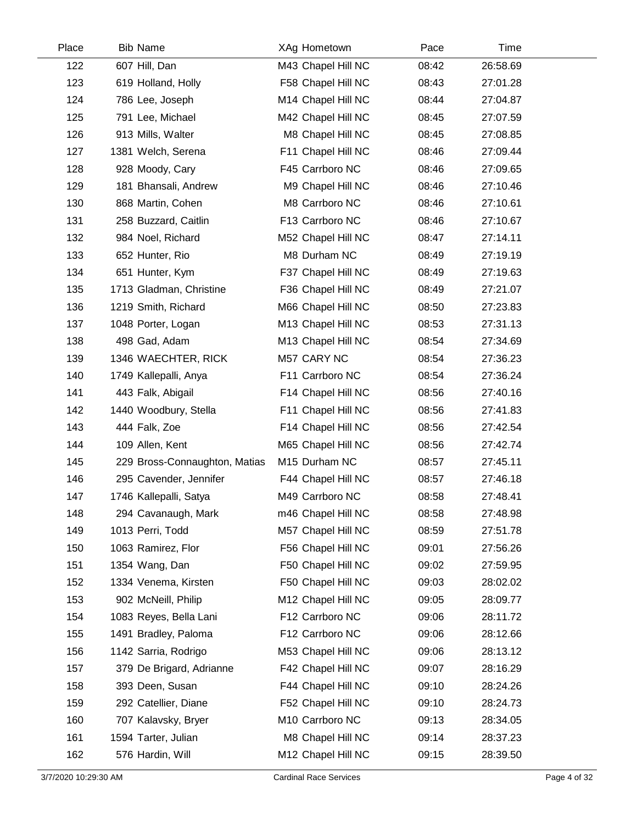| Place | <b>Bib Name</b>               | XAg Hometown       | Pace  | Time     |
|-------|-------------------------------|--------------------|-------|----------|
| 122   | 607 Hill, Dan                 | M43 Chapel Hill NC | 08:42 | 26:58.69 |
| 123   | 619 Holland, Holly            | F58 Chapel Hill NC | 08:43 | 27:01.28 |
| 124   | 786 Lee, Joseph               | M14 Chapel Hill NC | 08:44 | 27:04.87 |
| 125   | 791 Lee, Michael              | M42 Chapel Hill NC | 08:45 | 27:07.59 |
| 126   | 913 Mills, Walter             | M8 Chapel Hill NC  | 08:45 | 27:08.85 |
| 127   | 1381 Welch, Serena            | F11 Chapel Hill NC | 08:46 | 27:09.44 |
| 128   | 928 Moody, Cary               | F45 Carrboro NC    | 08:46 | 27:09.65 |
| 129   | 181 Bhansali, Andrew          | M9 Chapel Hill NC  | 08:46 | 27:10.46 |
| 130   | 868 Martin, Cohen             | M8 Carrboro NC     | 08:46 | 27:10.61 |
| 131   | 258 Buzzard, Caitlin          | F13 Carrboro NC    | 08:46 | 27:10.67 |
| 132   | 984 Noel, Richard             | M52 Chapel Hill NC | 08:47 | 27:14.11 |
| 133   | 652 Hunter, Rio               | M8 Durham NC       | 08:49 | 27:19.19 |
| 134   | 651 Hunter, Kym               | F37 Chapel Hill NC | 08:49 | 27:19.63 |
| 135   | 1713 Gladman, Christine       | F36 Chapel Hill NC | 08:49 | 27:21.07 |
| 136   | 1219 Smith, Richard           | M66 Chapel Hill NC | 08:50 | 27:23.83 |
| 137   | 1048 Porter, Logan            | M13 Chapel Hill NC | 08:53 | 27:31.13 |
| 138   | 498 Gad, Adam                 | M13 Chapel Hill NC | 08:54 | 27:34.69 |
| 139   | 1346 WAECHTER, RICK           | M57 CARY NC        | 08:54 | 27:36.23 |
| 140   | 1749 Kallepalli, Anya         | F11 Carrboro NC    | 08:54 | 27:36.24 |
| 141   | 443 Falk, Abigail             | F14 Chapel Hill NC | 08:56 | 27:40.16 |
| 142   | 1440 Woodbury, Stella         | F11 Chapel Hill NC | 08:56 | 27:41.83 |
| 143   | 444 Falk, Zoe                 | F14 Chapel Hill NC | 08:56 | 27:42.54 |
| 144   | 109 Allen, Kent               | M65 Chapel Hill NC | 08:56 | 27:42.74 |
| 145   | 229 Bross-Connaughton, Matias | M15 Durham NC      | 08:57 | 27:45.11 |
| 146   | 295 Cavender, Jennifer        | F44 Chapel Hill NC | 08:57 | 27:46.18 |
| 147   | 1746 Kallepalli, Satya        | M49 Carrboro NC    | 08:58 | 27:48.41 |
| 148   | 294 Cavanaugh, Mark           | m46 Chapel Hill NC | 08:58 | 27:48.98 |
| 149   | 1013 Perri, Todd              | M57 Chapel Hill NC | 08:59 | 27:51.78 |
| 150   | 1063 Ramirez, Flor            | F56 Chapel Hill NC | 09:01 | 27:56.26 |
| 151   | 1354 Wang, Dan                | F50 Chapel Hill NC | 09:02 | 27:59.95 |
| 152   | 1334 Venema, Kirsten          | F50 Chapel Hill NC | 09:03 | 28:02.02 |
| 153   | 902 McNeill, Philip           | M12 Chapel Hill NC | 09:05 | 28:09.77 |
| 154   | 1083 Reyes, Bella Lani        | F12 Carrboro NC    | 09:06 | 28:11.72 |
| 155   | 1491 Bradley, Paloma          | F12 Carrboro NC    | 09:06 | 28:12.66 |
| 156   | 1142 Sarria, Rodrigo          | M53 Chapel Hill NC | 09:06 | 28:13.12 |
| 157   | 379 De Brigard, Adrianne      | F42 Chapel Hill NC | 09:07 | 28:16.29 |
| 158   | 393 Deen, Susan               | F44 Chapel Hill NC | 09:10 | 28:24.26 |
| 159   | 292 Catellier, Diane          | F52 Chapel Hill NC | 09:10 | 28:24.73 |
| 160   | 707 Kalavsky, Bryer           | M10 Carrboro NC    | 09:13 | 28:34.05 |
| 161   | 1594 Tarter, Julian           | M8 Chapel Hill NC  | 09:14 | 28:37.23 |
| 162   | 576 Hardin, Will              | M12 Chapel Hill NC | 09:15 | 28:39.50 |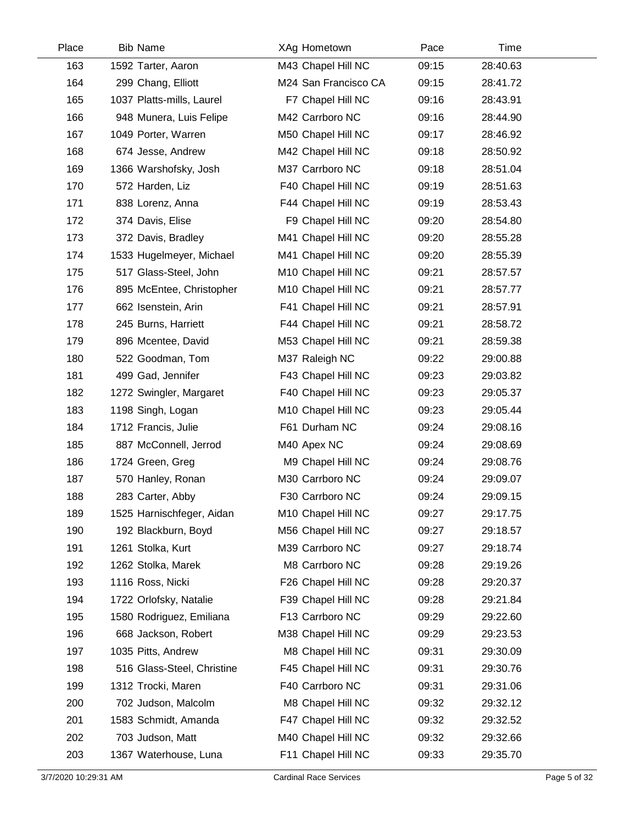| Place | <b>Bib Name</b>            | XAg Hometown         | Pace  | Time     |  |
|-------|----------------------------|----------------------|-------|----------|--|
| 163   | 1592 Tarter, Aaron         | M43 Chapel Hill NC   | 09:15 | 28:40.63 |  |
| 164   | 299 Chang, Elliott         | M24 San Francisco CA | 09:15 | 28:41.72 |  |
| 165   | 1037 Platts-mills, Laurel  | F7 Chapel Hill NC    | 09:16 | 28:43.91 |  |
| 166   | 948 Munera, Luis Felipe    | M42 Carrboro NC      | 09:16 | 28:44.90 |  |
| 167   | 1049 Porter, Warren        | M50 Chapel Hill NC   | 09:17 | 28:46.92 |  |
| 168   | 674 Jesse, Andrew          | M42 Chapel Hill NC   | 09:18 | 28:50.92 |  |
| 169   | 1366 Warshofsky, Josh      | M37 Carrboro NC      | 09:18 | 28:51.04 |  |
| 170   | 572 Harden, Liz            | F40 Chapel Hill NC   | 09:19 | 28:51.63 |  |
| 171   | 838 Lorenz, Anna           | F44 Chapel Hill NC   | 09:19 | 28:53.43 |  |
| 172   | 374 Davis, Elise           | F9 Chapel Hill NC    | 09:20 | 28:54.80 |  |
| 173   | 372 Davis, Bradley         | M41 Chapel Hill NC   | 09:20 | 28:55.28 |  |
| 174   | 1533 Hugelmeyer, Michael   | M41 Chapel Hill NC   | 09:20 | 28:55.39 |  |
| 175   | 517 Glass-Steel, John      | M10 Chapel Hill NC   | 09:21 | 28:57.57 |  |
| 176   | 895 McEntee, Christopher   | M10 Chapel Hill NC   | 09:21 | 28:57.77 |  |
| 177   | 662 Isenstein, Arin        | F41 Chapel Hill NC   | 09:21 | 28:57.91 |  |
| 178   | 245 Burns, Harriett        | F44 Chapel Hill NC   | 09:21 | 28:58.72 |  |
| 179   | 896 Mcentee, David         | M53 Chapel Hill NC   | 09:21 | 28:59.38 |  |
| 180   | 522 Goodman, Tom           | M37 Raleigh NC       | 09:22 | 29:00.88 |  |
| 181   | 499 Gad, Jennifer          | F43 Chapel Hill NC   | 09:23 | 29:03.82 |  |
| 182   | 1272 Swingler, Margaret    | F40 Chapel Hill NC   | 09:23 | 29:05.37 |  |
| 183   | 1198 Singh, Logan          | M10 Chapel Hill NC   | 09:23 | 29:05.44 |  |
| 184   | 1712 Francis, Julie        | F61 Durham NC        | 09:24 | 29:08.16 |  |
| 185   | 887 McConnell, Jerrod      | M40 Apex NC          | 09:24 | 29:08.69 |  |
| 186   | 1724 Green, Greg           | M9 Chapel Hill NC    | 09:24 | 29:08.76 |  |
| 187   | 570 Hanley, Ronan          | M30 Carrboro NC      | 09:24 | 29:09.07 |  |
| 188   | 283 Carter, Abby           | F30 Carrboro NC      | 09:24 | 29:09.15 |  |
| 189   | 1525 Harnischfeger, Aidan  | M10 Chapel Hill NC   | 09:27 | 29:17.75 |  |
| 190   | 192 Blackburn, Boyd        | M56 Chapel Hill NC   | 09:27 | 29:18.57 |  |
| 191   | 1261 Stolka, Kurt          | M39 Carrboro NC      | 09:27 | 29:18.74 |  |
| 192   | 1262 Stolka, Marek         | M8 Carrboro NC       | 09:28 | 29:19.26 |  |
| 193   | 1116 Ross, Nicki           | F26 Chapel Hill NC   | 09:28 | 29:20.37 |  |
| 194   | 1722 Orlofsky, Natalie     | F39 Chapel Hill NC   | 09:28 | 29:21.84 |  |
| 195   | 1580 Rodriguez, Emiliana   | F13 Carrboro NC      | 09:29 | 29:22.60 |  |
| 196   | 668 Jackson, Robert        | M38 Chapel Hill NC   | 09:29 | 29:23.53 |  |
| 197   | 1035 Pitts, Andrew         | M8 Chapel Hill NC    | 09:31 | 29:30.09 |  |
| 198   | 516 Glass-Steel, Christine | F45 Chapel Hill NC   | 09:31 | 29:30.76 |  |
| 199   | 1312 Trocki, Maren         | F40 Carrboro NC      | 09:31 | 29:31.06 |  |
| 200   | 702 Judson, Malcolm        | M8 Chapel Hill NC    | 09:32 | 29:32.12 |  |
| 201   | 1583 Schmidt, Amanda       | F47 Chapel Hill NC   | 09:32 | 29:32.52 |  |
| 202   | 703 Judson, Matt           | M40 Chapel Hill NC   | 09:32 | 29:32.66 |  |
| 203   | 1367 Waterhouse, Luna      | F11 Chapel Hill NC   | 09:33 | 29:35.70 |  |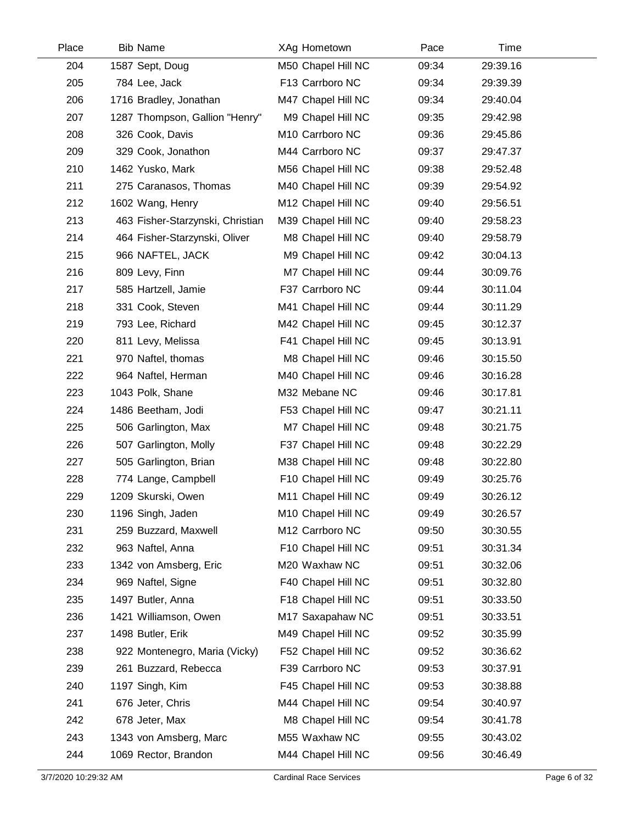| Place | <b>Bib Name</b>                  | XAg Hometown       | Pace  | Time     |  |
|-------|----------------------------------|--------------------|-------|----------|--|
| 204   | 1587 Sept, Doug                  | M50 Chapel Hill NC | 09:34 | 29:39.16 |  |
| 205   | 784 Lee, Jack                    | F13 Carrboro NC    | 09:34 | 29:39.39 |  |
| 206   | 1716 Bradley, Jonathan           | M47 Chapel Hill NC | 09:34 | 29:40.04 |  |
| 207   | 1287 Thompson, Gallion "Henry"   | M9 Chapel Hill NC  | 09:35 | 29:42.98 |  |
| 208   | 326 Cook, Davis                  | M10 Carrboro NC    | 09:36 | 29:45.86 |  |
| 209   | 329 Cook, Jonathon               | M44 Carrboro NC    | 09:37 | 29:47.37 |  |
| 210   | 1462 Yusko, Mark                 | M56 Chapel Hill NC | 09:38 | 29:52.48 |  |
| 211   | 275 Caranasos, Thomas            | M40 Chapel Hill NC | 09:39 | 29:54.92 |  |
| 212   | 1602 Wang, Henry                 | M12 Chapel Hill NC | 09:40 | 29:56.51 |  |
| 213   | 463 Fisher-Starzynski, Christian | M39 Chapel Hill NC | 09:40 | 29:58.23 |  |
| 214   | 464 Fisher-Starzynski, Oliver    | M8 Chapel Hill NC  | 09:40 | 29:58.79 |  |
| 215   | 966 NAFTEL, JACK                 | M9 Chapel Hill NC  | 09:42 | 30:04.13 |  |
| 216   | 809 Levy, Finn                   | M7 Chapel Hill NC  | 09:44 | 30:09.76 |  |
| 217   | 585 Hartzell, Jamie              | F37 Carrboro NC    | 09:44 | 30:11.04 |  |
| 218   | 331 Cook, Steven                 | M41 Chapel Hill NC | 09:44 | 30:11.29 |  |
| 219   | 793 Lee, Richard                 | M42 Chapel Hill NC | 09:45 | 30:12.37 |  |
| 220   | 811 Levy, Melissa                | F41 Chapel Hill NC | 09:45 | 30:13.91 |  |
| 221   | 970 Naftel, thomas               | M8 Chapel Hill NC  | 09:46 | 30:15.50 |  |
| 222   | 964 Naftel, Herman               | M40 Chapel Hill NC | 09:46 | 30:16.28 |  |
| 223   | 1043 Polk, Shane                 | M32 Mebane NC      | 09:46 | 30:17.81 |  |
| 224   | 1486 Beetham, Jodi               | F53 Chapel Hill NC | 09:47 | 30:21.11 |  |
| 225   | 506 Garlington, Max              | M7 Chapel Hill NC  | 09:48 | 30:21.75 |  |
| 226   | 507 Garlington, Molly            | F37 Chapel Hill NC | 09:48 | 30:22.29 |  |
| 227   | 505 Garlington, Brian            | M38 Chapel Hill NC | 09:48 | 30:22.80 |  |
| 228   | 774 Lange, Campbell              | F10 Chapel Hill NC | 09:49 | 30:25.76 |  |
| 229   | 1209 Skurski, Owen               | M11 Chapel Hill NC | 09:49 | 30:26.12 |  |
| 230   | 1196 Singh, Jaden                | M10 Chapel Hill NC | 09:49 | 30:26.57 |  |
| 231   | 259 Buzzard, Maxwell             | M12 Carrboro NC    | 09:50 | 30:30.55 |  |
| 232   | 963 Naftel, Anna                 | F10 Chapel Hill NC | 09:51 | 30:31.34 |  |
| 233   | 1342 von Amsberg, Eric           | M20 Waxhaw NC      | 09:51 | 30:32.06 |  |
| 234   | 969 Naftel, Signe                | F40 Chapel Hill NC | 09:51 | 30:32.80 |  |
| 235   | 1497 Butler, Anna                | F18 Chapel Hill NC | 09:51 | 30:33.50 |  |
| 236   | 1421 Williamson, Owen            | M17 Saxapahaw NC   | 09:51 | 30:33.51 |  |
| 237   | 1498 Butler, Erik                | M49 Chapel Hill NC | 09:52 | 30:35.99 |  |
| 238   | 922 Montenegro, Maria (Vicky)    | F52 Chapel Hill NC | 09:52 | 30:36.62 |  |
| 239   | 261 Buzzard, Rebecca             | F39 Carrboro NC    | 09:53 | 30:37.91 |  |
| 240   | 1197 Singh, Kim                  | F45 Chapel Hill NC | 09:53 | 30:38.88 |  |
| 241   | 676 Jeter, Chris                 | M44 Chapel Hill NC | 09:54 | 30:40.97 |  |
| 242   | 678 Jeter, Max                   | M8 Chapel Hill NC  | 09:54 | 30:41.78 |  |
| 243   | 1343 von Amsberg, Marc           | M55 Waxhaw NC      | 09:55 | 30:43.02 |  |
| 244   | 1069 Rector, Brandon             | M44 Chapel Hill NC | 09:56 | 30:46.49 |  |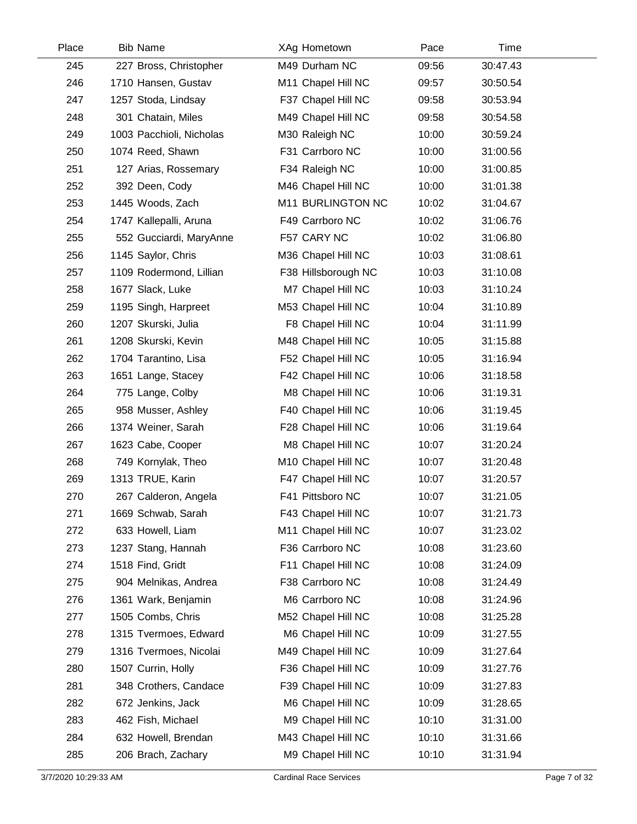| Place | <b>Bib Name</b>          | XAg Hometown        | Pace  | Time     |  |
|-------|--------------------------|---------------------|-------|----------|--|
| 245   | 227 Bross, Christopher   | M49 Durham NC       | 09:56 | 30:47.43 |  |
| 246   | 1710 Hansen, Gustav      | M11 Chapel Hill NC  | 09:57 | 30:50.54 |  |
| 247   | 1257 Stoda, Lindsay      | F37 Chapel Hill NC  | 09:58 | 30:53.94 |  |
| 248   | 301 Chatain, Miles       | M49 Chapel Hill NC  | 09:58 | 30:54.58 |  |
| 249   | 1003 Pacchioli, Nicholas | M30 Raleigh NC      | 10:00 | 30:59.24 |  |
| 250   | 1074 Reed, Shawn         | F31 Carrboro NC     | 10:00 | 31:00.56 |  |
| 251   | 127 Arias, Rossemary     | F34 Raleigh NC      | 10:00 | 31:00.85 |  |
| 252   | 392 Deen, Cody           | M46 Chapel Hill NC  | 10:00 | 31:01.38 |  |
| 253   | 1445 Woods, Zach         | M11 BURLINGTON NC   | 10:02 | 31:04.67 |  |
| 254   | 1747 Kallepalli, Aruna   | F49 Carrboro NC     | 10:02 | 31:06.76 |  |
| 255   | 552 Gucciardi, MaryAnne  | F57 CARY NC         | 10:02 | 31:06.80 |  |
| 256   | 1145 Saylor, Chris       | M36 Chapel Hill NC  | 10:03 | 31:08.61 |  |
| 257   | 1109 Rodermond, Lillian  | F38 Hillsborough NC | 10:03 | 31:10.08 |  |
| 258   | 1677 Slack, Luke         | M7 Chapel Hill NC   | 10:03 | 31:10.24 |  |
| 259   | 1195 Singh, Harpreet     | M53 Chapel Hill NC  | 10:04 | 31:10.89 |  |
| 260   | 1207 Skurski, Julia      | F8 Chapel Hill NC   | 10:04 | 31:11.99 |  |
| 261   | 1208 Skurski, Kevin      | M48 Chapel Hill NC  | 10:05 | 31:15.88 |  |
| 262   | 1704 Tarantino, Lisa     | F52 Chapel Hill NC  | 10:05 | 31:16.94 |  |
| 263   | 1651 Lange, Stacey       | F42 Chapel Hill NC  | 10:06 | 31:18.58 |  |
| 264   | 775 Lange, Colby         | M8 Chapel Hill NC   | 10:06 | 31:19.31 |  |
| 265   | 958 Musser, Ashley       | F40 Chapel Hill NC  | 10:06 | 31:19.45 |  |
| 266   | 1374 Weiner, Sarah       | F28 Chapel Hill NC  | 10:06 | 31:19.64 |  |
| 267   | 1623 Cabe, Cooper        | M8 Chapel Hill NC   | 10:07 | 31:20.24 |  |
| 268   | 749 Kornylak, Theo       | M10 Chapel Hill NC  | 10:07 | 31:20.48 |  |
| 269   | 1313 TRUE, Karin         | F47 Chapel Hill NC  | 10:07 | 31:20.57 |  |
| 270   | 267 Calderon, Angela     | F41 Pittsboro NC    | 10:07 | 31:21.05 |  |
| 271   | 1669 Schwab, Sarah       | F43 Chapel Hill NC  | 10:07 | 31:21.73 |  |
| 272   | 633 Howell, Liam         | M11 Chapel Hill NC  | 10:07 | 31:23.02 |  |
| 273   | 1237 Stang, Hannah       | F36 Carrboro NC     | 10:08 | 31:23.60 |  |
| 274   | 1518 Find, Gridt         | F11 Chapel Hill NC  | 10:08 | 31:24.09 |  |
| 275   | 904 Melnikas, Andrea     | F38 Carrboro NC     | 10:08 | 31:24.49 |  |
| 276   | 1361 Wark, Benjamin      | M6 Carrboro NC      | 10:08 | 31:24.96 |  |
| 277   | 1505 Combs, Chris        | M52 Chapel Hill NC  | 10:08 | 31:25.28 |  |
| 278   | 1315 Tvermoes, Edward    | M6 Chapel Hill NC   | 10:09 | 31:27.55 |  |
| 279   | 1316 Tvermoes, Nicolai   | M49 Chapel Hill NC  | 10:09 | 31:27.64 |  |
| 280   | 1507 Currin, Holly       | F36 Chapel Hill NC  | 10:09 | 31:27.76 |  |
| 281   | 348 Crothers, Candace    | F39 Chapel Hill NC  | 10:09 | 31:27.83 |  |
| 282   | 672 Jenkins, Jack        | M6 Chapel Hill NC   | 10:09 | 31:28.65 |  |
| 283   | 462 Fish, Michael        | M9 Chapel Hill NC   | 10:10 | 31:31.00 |  |
| 284   | 632 Howell, Brendan      | M43 Chapel Hill NC  | 10:10 | 31:31.66 |  |
| 285   | 206 Brach, Zachary       | M9 Chapel Hill NC   | 10:10 | 31:31.94 |  |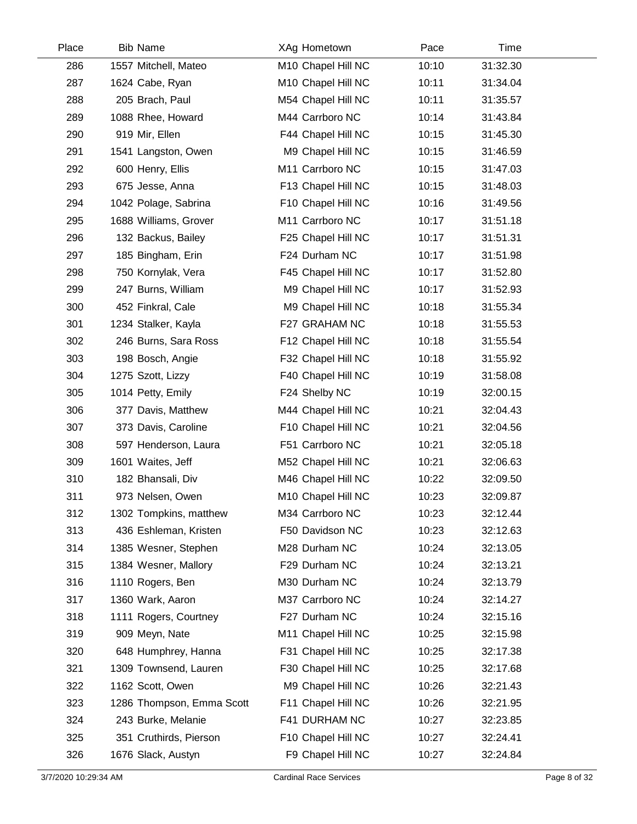| Place | <b>Bib Name</b>           | XAg Hometown       | Pace  | Time     |  |
|-------|---------------------------|--------------------|-------|----------|--|
| 286   | 1557 Mitchell, Mateo      | M10 Chapel Hill NC | 10:10 | 31:32.30 |  |
| 287   | 1624 Cabe, Ryan           | M10 Chapel Hill NC | 10:11 | 31:34.04 |  |
| 288   | 205 Brach, Paul           | M54 Chapel Hill NC | 10:11 | 31:35.57 |  |
| 289   | 1088 Rhee, Howard         | M44 Carrboro NC    | 10:14 | 31:43.84 |  |
| 290   | 919 Mir, Ellen            | F44 Chapel Hill NC | 10:15 | 31:45.30 |  |
| 291   | 1541 Langston, Owen       | M9 Chapel Hill NC  | 10:15 | 31:46.59 |  |
| 292   | 600 Henry, Ellis          | M11 Carrboro NC    | 10:15 | 31:47.03 |  |
| 293   | 675 Jesse, Anna           | F13 Chapel Hill NC | 10:15 | 31:48.03 |  |
| 294   | 1042 Polage, Sabrina      | F10 Chapel Hill NC | 10:16 | 31:49.56 |  |
| 295   | 1688 Williams, Grover     | M11 Carrboro NC    | 10:17 | 31:51.18 |  |
| 296   | 132 Backus, Bailey        | F25 Chapel Hill NC | 10:17 | 31:51.31 |  |
| 297   | 185 Bingham, Erin         | F24 Durham NC      | 10:17 | 31:51.98 |  |
| 298   | 750 Kornylak, Vera        | F45 Chapel Hill NC | 10:17 | 31:52.80 |  |
| 299   | 247 Burns, William        | M9 Chapel Hill NC  | 10:17 | 31:52.93 |  |
| 300   | 452 Finkral, Cale         | M9 Chapel Hill NC  | 10:18 | 31:55.34 |  |
| 301   | 1234 Stalker, Kayla       | F27 GRAHAM NC      | 10:18 | 31:55.53 |  |
| 302   | 246 Burns, Sara Ross      | F12 Chapel Hill NC | 10:18 | 31:55.54 |  |
| 303   | 198 Bosch, Angie          | F32 Chapel Hill NC | 10:18 | 31:55.92 |  |
| 304   | 1275 Szott, Lizzy         | F40 Chapel Hill NC | 10:19 | 31:58.08 |  |
| 305   | 1014 Petty, Emily         | F24 Shelby NC      | 10:19 | 32:00.15 |  |
| 306   | 377 Davis, Matthew        | M44 Chapel Hill NC | 10:21 | 32:04.43 |  |
| 307   | 373 Davis, Caroline       | F10 Chapel Hill NC | 10:21 | 32:04.56 |  |
| 308   | 597 Henderson, Laura      | F51 Carrboro NC    | 10:21 | 32:05.18 |  |
| 309   | 1601 Waites, Jeff         | M52 Chapel Hill NC | 10:21 | 32:06.63 |  |
| 310   | 182 Bhansali, Div         | M46 Chapel Hill NC | 10:22 | 32:09.50 |  |
| 311   | 973 Nelsen, Owen          | M10 Chapel Hill NC | 10:23 | 32:09.87 |  |
| 312   | 1302 Tompkins, matthew    | M34 Carrboro NC    | 10:23 | 32:12.44 |  |
| 313   | 436 Eshleman, Kristen     | F50 Davidson NC    | 10:23 | 32:12.63 |  |
| 314   | 1385 Wesner, Stephen      | M28 Durham NC      | 10:24 | 32:13.05 |  |
| 315   | 1384 Wesner, Mallory      | F29 Durham NC      | 10:24 | 32:13.21 |  |
| 316   | 1110 Rogers, Ben          | M30 Durham NC      | 10:24 | 32:13.79 |  |
| 317   | 1360 Wark, Aaron          | M37 Carrboro NC    | 10:24 | 32:14.27 |  |
| 318   | 1111 Rogers, Courtney     | F27 Durham NC      | 10:24 | 32:15.16 |  |
| 319   | 909 Meyn, Nate            | M11 Chapel Hill NC | 10:25 | 32:15.98 |  |
| 320   | 648 Humphrey, Hanna       | F31 Chapel Hill NC | 10:25 | 32:17.38 |  |
| 321   | 1309 Townsend, Lauren     | F30 Chapel Hill NC | 10:25 | 32:17.68 |  |
| 322   | 1162 Scott, Owen          | M9 Chapel Hill NC  | 10:26 | 32:21.43 |  |
| 323   | 1286 Thompson, Emma Scott | F11 Chapel Hill NC | 10:26 | 32:21.95 |  |
| 324   | 243 Burke, Melanie        | F41 DURHAM NC      | 10:27 | 32:23.85 |  |
| 325   | 351 Cruthirds, Pierson    | F10 Chapel Hill NC | 10:27 | 32:24.41 |  |
| 326   | 1676 Slack, Austyn        | F9 Chapel Hill NC  | 10:27 | 32:24.84 |  |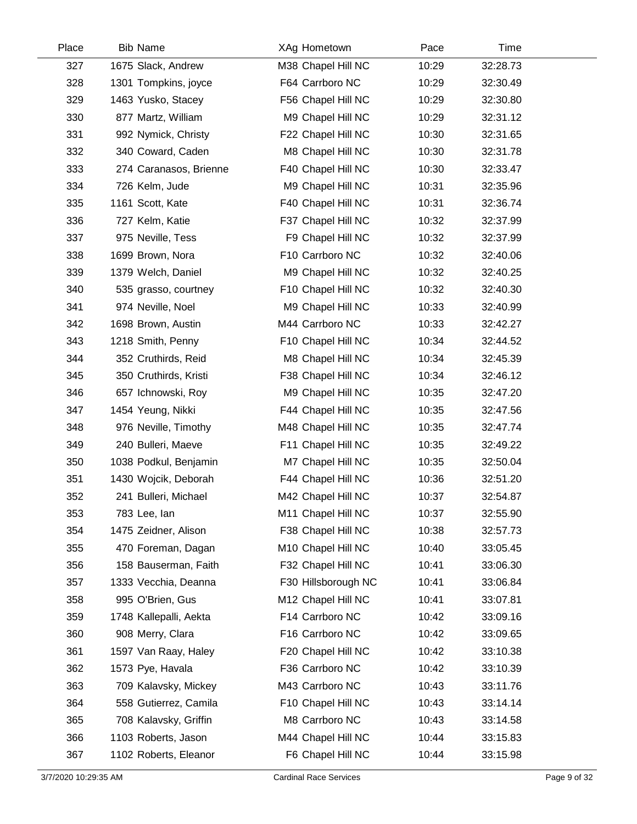| Place | <b>Bib Name</b>        | XAg Hometown        | Pace  | Time     |  |
|-------|------------------------|---------------------|-------|----------|--|
| 327   | 1675 Slack, Andrew     | M38 Chapel Hill NC  | 10:29 | 32:28.73 |  |
| 328   | 1301 Tompkins, joyce   | F64 Carrboro NC     | 10:29 | 32:30.49 |  |
| 329   | 1463 Yusko, Stacey     | F56 Chapel Hill NC  | 10:29 | 32:30.80 |  |
| 330   | 877 Martz, William     | M9 Chapel Hill NC   | 10:29 | 32:31.12 |  |
| 331   | 992 Nymick, Christy    | F22 Chapel Hill NC  | 10:30 | 32:31.65 |  |
| 332   | 340 Coward, Caden      | M8 Chapel Hill NC   | 10:30 | 32:31.78 |  |
| 333   | 274 Caranasos, Brienne | F40 Chapel Hill NC  | 10:30 | 32:33.47 |  |
| 334   | 726 Kelm, Jude         | M9 Chapel Hill NC   | 10:31 | 32:35.96 |  |
| 335   | 1161 Scott, Kate       | F40 Chapel Hill NC  | 10:31 | 32:36.74 |  |
| 336   | 727 Kelm, Katie        | F37 Chapel Hill NC  | 10:32 | 32:37.99 |  |
| 337   | 975 Neville, Tess      | F9 Chapel Hill NC   | 10:32 | 32:37.99 |  |
| 338   | 1699 Brown, Nora       | F10 Carrboro NC     | 10:32 | 32:40.06 |  |
| 339   | 1379 Welch, Daniel     | M9 Chapel Hill NC   | 10:32 | 32:40.25 |  |
| 340   | 535 grasso, courtney   | F10 Chapel Hill NC  | 10:32 | 32:40.30 |  |
| 341   | 974 Neville, Noel      | M9 Chapel Hill NC   | 10:33 | 32:40.99 |  |
| 342   | 1698 Brown, Austin     | M44 Carrboro NC     | 10:33 | 32:42.27 |  |
| 343   | 1218 Smith, Penny      | F10 Chapel Hill NC  | 10:34 | 32:44.52 |  |
| 344   | 352 Cruthirds, Reid    | M8 Chapel Hill NC   | 10:34 | 32:45.39 |  |
| 345   | 350 Cruthirds, Kristi  | F38 Chapel Hill NC  | 10:34 | 32:46.12 |  |
| 346   | 657 Ichnowski, Roy     | M9 Chapel Hill NC   | 10:35 | 32:47.20 |  |
| 347   | 1454 Yeung, Nikki      | F44 Chapel Hill NC  | 10:35 | 32:47.56 |  |
| 348   | 976 Neville, Timothy   | M48 Chapel Hill NC  | 10:35 | 32:47.74 |  |
| 349   | 240 Bulleri, Maeve     | F11 Chapel Hill NC  | 10:35 | 32:49.22 |  |
| 350   | 1038 Podkul, Benjamin  | M7 Chapel Hill NC   | 10:35 | 32:50.04 |  |
| 351   | 1430 Wojcik, Deborah   | F44 Chapel Hill NC  | 10:36 | 32:51.20 |  |
| 352   | 241 Bulleri, Michael   | M42 Chapel Hill NC  | 10:37 | 32:54.87 |  |
| 353   | 783 Lee, lan           | M11 Chapel Hill NC  | 10:37 | 32:55.90 |  |
| 354   | 1475 Zeidner, Alison   | F38 Chapel Hill NC  | 10:38 | 32:57.73 |  |
| 355   | 470 Foreman, Dagan     | M10 Chapel Hill NC  | 10:40 | 33:05.45 |  |
| 356   | 158 Bauserman, Faith   | F32 Chapel Hill NC  | 10:41 | 33:06.30 |  |
| 357   | 1333 Vecchia, Deanna   | F30 Hillsborough NC | 10:41 | 33:06.84 |  |
| 358   | 995 O'Brien, Gus       | M12 Chapel Hill NC  | 10:41 | 33:07.81 |  |
| 359   | 1748 Kallepalli, Aekta | F14 Carrboro NC     | 10:42 | 33:09.16 |  |
| 360   | 908 Merry, Clara       | F16 Carrboro NC     | 10:42 | 33:09.65 |  |
| 361   | 1597 Van Raay, Haley   | F20 Chapel Hill NC  | 10:42 | 33:10.38 |  |
| 362   | 1573 Pye, Havala       | F36 Carrboro NC     | 10:42 | 33:10.39 |  |
| 363   | 709 Kalavsky, Mickey   | M43 Carrboro NC     | 10:43 | 33:11.76 |  |
| 364   | 558 Gutierrez, Camila  | F10 Chapel Hill NC  | 10:43 | 33:14.14 |  |
| 365   | 708 Kalavsky, Griffin  | M8 Carrboro NC      | 10:43 | 33:14.58 |  |
| 366   | 1103 Roberts, Jason    | M44 Chapel Hill NC  | 10:44 | 33:15.83 |  |
| 367   | 1102 Roberts, Eleanor  | F6 Chapel Hill NC   | 10:44 | 33:15.98 |  |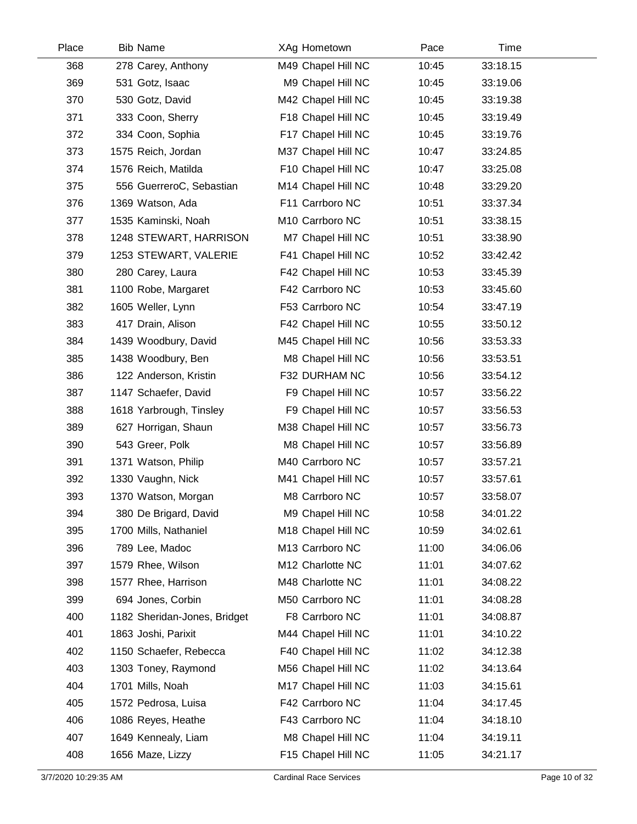| Place | <b>Bib Name</b>              | XAg Hometown       | Pace  | Time     |  |
|-------|------------------------------|--------------------|-------|----------|--|
| 368   | 278 Carey, Anthony           | M49 Chapel Hill NC | 10:45 | 33:18.15 |  |
| 369   | 531 Gotz, Isaac              | M9 Chapel Hill NC  | 10:45 | 33:19.06 |  |
| 370   | 530 Gotz, David              | M42 Chapel Hill NC | 10:45 | 33:19.38 |  |
| 371   | 333 Coon, Sherry             | F18 Chapel Hill NC | 10:45 | 33:19.49 |  |
| 372   | 334 Coon, Sophia             | F17 Chapel Hill NC | 10:45 | 33:19.76 |  |
| 373   | 1575 Reich, Jordan           | M37 Chapel Hill NC | 10:47 | 33:24.85 |  |
| 374   | 1576 Reich, Matilda          | F10 Chapel Hill NC | 10:47 | 33:25.08 |  |
| 375   | 556 GuerreroC, Sebastian     | M14 Chapel Hill NC | 10:48 | 33:29.20 |  |
| 376   | 1369 Watson, Ada             | F11 Carrboro NC    | 10:51 | 33:37.34 |  |
| 377   | 1535 Kaminski, Noah          | M10 Carrboro NC    | 10:51 | 33:38.15 |  |
| 378   | 1248 STEWART, HARRISON       | M7 Chapel Hill NC  | 10:51 | 33:38.90 |  |
| 379   | 1253 STEWART, VALERIE        | F41 Chapel Hill NC | 10:52 | 33:42.42 |  |
| 380   | 280 Carey, Laura             | F42 Chapel Hill NC | 10:53 | 33:45.39 |  |
| 381   | 1100 Robe, Margaret          | F42 Carrboro NC    | 10:53 | 33:45.60 |  |
| 382   | 1605 Weller, Lynn            | F53 Carrboro NC    | 10:54 | 33:47.19 |  |
| 383   | 417 Drain, Alison            | F42 Chapel Hill NC | 10:55 | 33:50.12 |  |
| 384   | 1439 Woodbury, David         | M45 Chapel Hill NC | 10:56 | 33:53.33 |  |
| 385   | 1438 Woodbury, Ben           | M8 Chapel Hill NC  | 10:56 | 33:53.51 |  |
| 386   | 122 Anderson, Kristin        | F32 DURHAM NC      | 10:56 | 33:54.12 |  |
| 387   | 1147 Schaefer, David         | F9 Chapel Hill NC  | 10:57 | 33:56.22 |  |
| 388   | 1618 Yarbrough, Tinsley      | F9 Chapel Hill NC  | 10:57 | 33:56.53 |  |
| 389   | 627 Horrigan, Shaun          | M38 Chapel Hill NC | 10:57 | 33:56.73 |  |
| 390   | 543 Greer, Polk              | M8 Chapel Hill NC  | 10:57 | 33:56.89 |  |
| 391   | 1371 Watson, Philip          | M40 Carrboro NC    | 10:57 | 33:57.21 |  |
| 392   | 1330 Vaughn, Nick            | M41 Chapel Hill NC | 10:57 | 33:57.61 |  |
| 393   | 1370 Watson, Morgan          | M8 Carrboro NC     | 10:57 | 33:58.07 |  |
| 394   | 380 De Brigard, David        | M9 Chapel Hill NC  | 10:58 | 34:01.22 |  |
| 395   | 1700 Mills, Nathaniel        | M18 Chapel Hill NC | 10:59 | 34:02.61 |  |
| 396   | 789 Lee, Madoc               | M13 Carrboro NC    | 11:00 | 34:06.06 |  |
| 397   | 1579 Rhee, Wilson            | M12 Charlotte NC   | 11:01 | 34:07.62 |  |
| 398   | 1577 Rhee, Harrison          | M48 Charlotte NC   | 11:01 | 34:08.22 |  |
| 399   | 694 Jones, Corbin            | M50 Carrboro NC    | 11:01 | 34:08.28 |  |
| 400   | 1182 Sheridan-Jones, Bridget | F8 Carrboro NC     | 11:01 | 34:08.87 |  |
| 401   | 1863 Joshi, Parixit          | M44 Chapel Hill NC | 11:01 | 34:10.22 |  |
| 402   | 1150 Schaefer, Rebecca       | F40 Chapel Hill NC | 11:02 | 34:12.38 |  |
| 403   | 1303 Toney, Raymond          | M56 Chapel Hill NC | 11:02 | 34:13.64 |  |
| 404   | 1701 Mills, Noah             | M17 Chapel Hill NC | 11:03 | 34:15.61 |  |
| 405   | 1572 Pedrosa, Luisa          | F42 Carrboro NC    | 11:04 | 34:17.45 |  |
| 406   | 1086 Reyes, Heathe           | F43 Carrboro NC    | 11:04 | 34:18.10 |  |
| 407   | 1649 Kennealy, Liam          | M8 Chapel Hill NC  | 11:04 | 34:19.11 |  |
| 408   | 1656 Maze, Lizzy             | F15 Chapel Hill NC | 11:05 | 34:21.17 |  |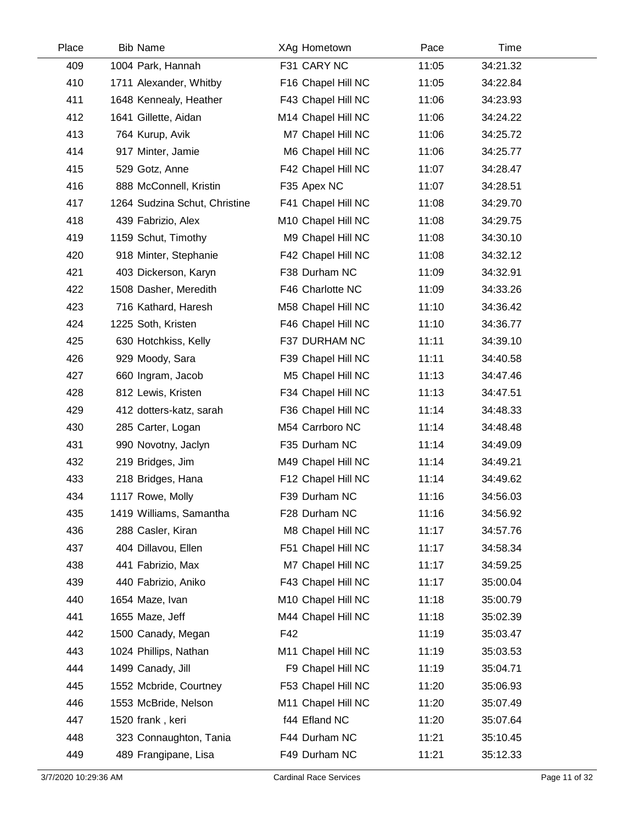| Place | <b>Bib Name</b>               | XAg Hometown       | Pace  | Time     |  |
|-------|-------------------------------|--------------------|-------|----------|--|
| 409   | 1004 Park, Hannah             | F31 CARY NC        | 11:05 | 34:21.32 |  |
| 410   | 1711 Alexander, Whitby        | F16 Chapel Hill NC | 11:05 | 34:22.84 |  |
| 411   | 1648 Kennealy, Heather        | F43 Chapel Hill NC | 11:06 | 34:23.93 |  |
| 412   | 1641 Gillette, Aidan          | M14 Chapel Hill NC | 11:06 | 34:24.22 |  |
| 413   | 764 Kurup, Avik               | M7 Chapel Hill NC  | 11:06 | 34:25.72 |  |
| 414   | 917 Minter, Jamie             | M6 Chapel Hill NC  | 11:06 | 34:25.77 |  |
| 415   | 529 Gotz, Anne                | F42 Chapel Hill NC | 11:07 | 34:28.47 |  |
| 416   | 888 McConnell, Kristin        | F35 Apex NC        | 11:07 | 34:28.51 |  |
| 417   | 1264 Sudzina Schut, Christine | F41 Chapel Hill NC | 11:08 | 34:29.70 |  |
| 418   | 439 Fabrizio, Alex            | M10 Chapel Hill NC | 11:08 | 34:29.75 |  |
| 419   | 1159 Schut, Timothy           | M9 Chapel Hill NC  | 11:08 | 34:30.10 |  |
| 420   | 918 Minter, Stephanie         | F42 Chapel Hill NC | 11:08 | 34:32.12 |  |
| 421   | 403 Dickerson, Karyn          | F38 Durham NC      | 11:09 | 34:32.91 |  |
| 422   | 1508 Dasher, Meredith         | F46 Charlotte NC   | 11:09 | 34:33.26 |  |
| 423   | 716 Kathard, Haresh           | M58 Chapel Hill NC | 11:10 | 34:36.42 |  |
| 424   | 1225 Soth, Kristen            | F46 Chapel Hill NC | 11:10 | 34:36.77 |  |
| 425   | 630 Hotchkiss, Kelly          | F37 DURHAM NC      | 11:11 | 34:39.10 |  |
| 426   | 929 Moody, Sara               | F39 Chapel Hill NC | 11:11 | 34:40.58 |  |
| 427   | 660 Ingram, Jacob             | M5 Chapel Hill NC  | 11:13 | 34:47.46 |  |
| 428   | 812 Lewis, Kristen            | F34 Chapel Hill NC | 11:13 | 34:47.51 |  |
| 429   | 412 dotters-katz, sarah       | F36 Chapel Hill NC | 11:14 | 34:48.33 |  |
| 430   | 285 Carter, Logan             | M54 Carrboro NC    | 11:14 | 34:48.48 |  |
| 431   | 990 Novotny, Jaclyn           | F35 Durham NC      | 11:14 | 34:49.09 |  |
| 432   | 219 Bridges, Jim              | M49 Chapel Hill NC | 11:14 | 34:49.21 |  |
| 433   | 218 Bridges, Hana             | F12 Chapel Hill NC | 11:14 | 34:49.62 |  |
| 434   | 1117 Rowe, Molly              | F39 Durham NC      | 11:16 | 34:56.03 |  |
| 435   | 1419 Williams, Samantha       | F28 Durham NC      | 11:16 | 34:56.92 |  |
| 436   | 288 Casler, Kiran             | M8 Chapel Hill NC  | 11:17 | 34:57.76 |  |
| 437   | 404 Dillavou, Ellen           | F51 Chapel Hill NC | 11:17 | 34:58.34 |  |
| 438   | 441 Fabrizio, Max             | M7 Chapel Hill NC  | 11:17 | 34:59.25 |  |
| 439   | 440 Fabrizio, Aniko           | F43 Chapel Hill NC | 11:17 | 35:00.04 |  |
| 440   | 1654 Maze, Ivan               | M10 Chapel Hill NC | 11:18 | 35:00.79 |  |
| 441   | 1655 Maze, Jeff               | M44 Chapel Hill NC | 11:18 | 35:02.39 |  |
| 442   | 1500 Canady, Megan            | F42                | 11:19 | 35:03.47 |  |
| 443   | 1024 Phillips, Nathan         | M11 Chapel Hill NC | 11:19 | 35:03.53 |  |
| 444   | 1499 Canady, Jill             | F9 Chapel Hill NC  | 11:19 | 35:04.71 |  |
| 445   | 1552 Mcbride, Courtney        | F53 Chapel Hill NC | 11:20 | 35:06.93 |  |
| 446   | 1553 McBride, Nelson          | M11 Chapel Hill NC | 11:20 | 35:07.49 |  |
| 447   | 1520 frank, keri              | f44 Efland NC      | 11:20 | 35:07.64 |  |
| 448   | 323 Connaughton, Tania        | F44 Durham NC      | 11:21 | 35:10.45 |  |
| 449   | 489 Frangipane, Lisa          | F49 Durham NC      | 11:21 | 35:12.33 |  |
|       |                               |                    |       |          |  |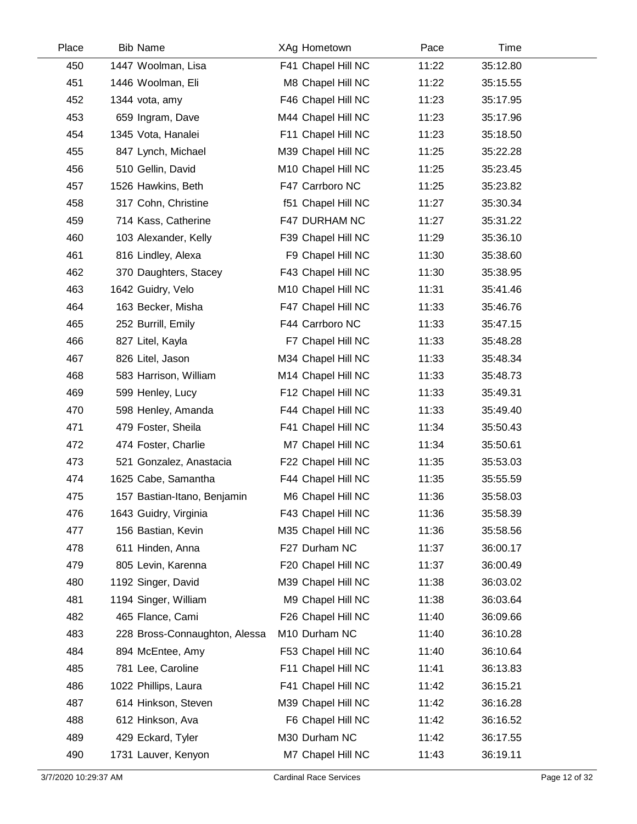| Place | <b>Bib Name</b>               | XAg Hometown       | Pace  | Time     |  |
|-------|-------------------------------|--------------------|-------|----------|--|
| 450   | 1447 Woolman, Lisa            | F41 Chapel Hill NC | 11:22 | 35:12.80 |  |
| 451   | 1446 Woolman, Eli             | M8 Chapel Hill NC  | 11:22 | 35:15.55 |  |
| 452   | 1344 vota, amy                | F46 Chapel Hill NC | 11:23 | 35:17.95 |  |
| 453   | 659 Ingram, Dave              | M44 Chapel Hill NC | 11:23 | 35:17.96 |  |
| 454   | 1345 Vota, Hanalei            | F11 Chapel Hill NC | 11:23 | 35:18.50 |  |
| 455   | 847 Lynch, Michael            | M39 Chapel Hill NC | 11:25 | 35:22.28 |  |
| 456   | 510 Gellin, David             | M10 Chapel Hill NC | 11:25 | 35:23.45 |  |
| 457   | 1526 Hawkins, Beth            | F47 Carrboro NC    | 11:25 | 35:23.82 |  |
| 458   | 317 Cohn, Christine           | f51 Chapel Hill NC | 11:27 | 35:30.34 |  |
| 459   | 714 Kass, Catherine           | F47 DURHAM NC      | 11:27 | 35:31.22 |  |
| 460   | 103 Alexander, Kelly          | F39 Chapel Hill NC | 11:29 | 35:36.10 |  |
| 461   | 816 Lindley, Alexa            | F9 Chapel Hill NC  | 11:30 | 35:38.60 |  |
| 462   | 370 Daughters, Stacey         | F43 Chapel Hill NC | 11:30 | 35:38.95 |  |
| 463   | 1642 Guidry, Velo             | M10 Chapel Hill NC | 11:31 | 35:41.46 |  |
| 464   | 163 Becker, Misha             | F47 Chapel Hill NC | 11:33 | 35:46.76 |  |
| 465   | 252 Burrill, Emily            | F44 Carrboro NC    | 11:33 | 35:47.15 |  |
| 466   | 827 Litel, Kayla              | F7 Chapel Hill NC  | 11:33 | 35:48.28 |  |
| 467   | 826 Litel, Jason              | M34 Chapel Hill NC | 11:33 | 35:48.34 |  |
| 468   | 583 Harrison, William         | M14 Chapel Hill NC | 11:33 | 35:48.73 |  |
| 469   | 599 Henley, Lucy              | F12 Chapel Hill NC | 11:33 | 35:49.31 |  |
| 470   | 598 Henley, Amanda            | F44 Chapel Hill NC | 11:33 | 35:49.40 |  |
| 471   | 479 Foster, Sheila            | F41 Chapel Hill NC | 11:34 | 35:50.43 |  |
| 472   | 474 Foster, Charlie           | M7 Chapel Hill NC  | 11:34 | 35:50.61 |  |
| 473   | 521 Gonzalez, Anastacia       | F22 Chapel Hill NC | 11:35 | 35:53.03 |  |
| 474   | 1625 Cabe, Samantha           | F44 Chapel Hill NC | 11:35 | 35:55.59 |  |
| 475   | 157 Bastian-Itano, Benjamin   | M6 Chapel Hill NC  | 11:36 | 35:58.03 |  |
| 476   | 1643 Guidry, Virginia         | F43 Chapel Hill NC | 11:36 | 35:58.39 |  |
| 477   | 156 Bastian, Kevin            | M35 Chapel Hill NC | 11:36 | 35:58.56 |  |
| 478   | 611 Hinden, Anna              | F27 Durham NC      | 11:37 | 36:00.17 |  |
| 479   | 805 Levin, Karenna            | F20 Chapel Hill NC | 11:37 | 36:00.49 |  |
| 480   | 1192 Singer, David            | M39 Chapel Hill NC | 11:38 | 36:03.02 |  |
| 481   | 1194 Singer, William          | M9 Chapel Hill NC  | 11:38 | 36:03.64 |  |
| 482   | 465 Flance, Cami              | F26 Chapel Hill NC | 11:40 | 36:09.66 |  |
| 483   | 228 Bross-Connaughton, Alessa | M10 Durham NC      | 11:40 | 36:10.28 |  |
| 484   | 894 McEntee, Amy              | F53 Chapel Hill NC | 11:40 | 36:10.64 |  |
| 485   | 781 Lee, Caroline             | F11 Chapel Hill NC | 11:41 | 36:13.83 |  |
| 486   | 1022 Phillips, Laura          | F41 Chapel Hill NC | 11:42 | 36:15.21 |  |
| 487   | 614 Hinkson, Steven           | M39 Chapel Hill NC | 11:42 | 36:16.28 |  |
| 488   | 612 Hinkson, Ava              | F6 Chapel Hill NC  | 11:42 | 36:16.52 |  |
| 489   | 429 Eckard, Tyler             | M30 Durham NC      | 11:42 | 36:17.55 |  |
| 490   | 1731 Lauver, Kenyon           | M7 Chapel Hill NC  | 11:43 | 36:19.11 |  |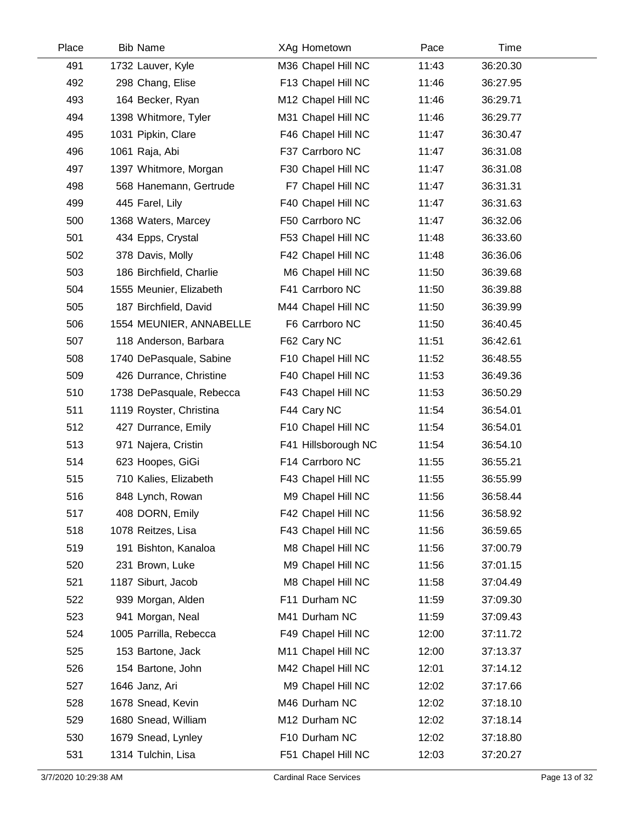| Place | <b>Bib Name</b>          | XAg Hometown        | Pace  | Time     |
|-------|--------------------------|---------------------|-------|----------|
| 491   | 1732 Lauver, Kyle        | M36 Chapel Hill NC  | 11:43 | 36:20.30 |
| 492   | 298 Chang, Elise         | F13 Chapel Hill NC  | 11:46 | 36:27.95 |
| 493   | 164 Becker, Ryan         | M12 Chapel Hill NC  | 11:46 | 36:29.71 |
| 494   | 1398 Whitmore, Tyler     | M31 Chapel Hill NC  | 11:46 | 36:29.77 |
| 495   | 1031 Pipkin, Clare       | F46 Chapel Hill NC  | 11:47 | 36:30.47 |
| 496   | 1061 Raja, Abi           | F37 Carrboro NC     | 11:47 | 36:31.08 |
| 497   | 1397 Whitmore, Morgan    | F30 Chapel Hill NC  | 11:47 | 36:31.08 |
| 498   | 568 Hanemann, Gertrude   | F7 Chapel Hill NC   | 11:47 | 36:31.31 |
| 499   | 445 Farel, Lily          | F40 Chapel Hill NC  | 11:47 | 36:31.63 |
| 500   | 1368 Waters, Marcey      | F50 Carrboro NC     | 11:47 | 36:32.06 |
| 501   | 434 Epps, Crystal        | F53 Chapel Hill NC  | 11:48 | 36:33.60 |
| 502   | 378 Davis, Molly         | F42 Chapel Hill NC  | 11:48 | 36:36.06 |
| 503   | 186 Birchfield, Charlie  | M6 Chapel Hill NC   | 11:50 | 36:39.68 |
| 504   | 1555 Meunier, Elizabeth  | F41 Carrboro NC     | 11:50 | 36:39.88 |
| 505   | 187 Birchfield, David    | M44 Chapel Hill NC  | 11:50 | 36:39.99 |
| 506   | 1554 MEUNIER, ANNABELLE  | F6 Carrboro NC      | 11:50 | 36:40.45 |
| 507   | 118 Anderson, Barbara    | F62 Cary NC         | 11:51 | 36:42.61 |
| 508   | 1740 DePasquale, Sabine  | F10 Chapel Hill NC  | 11:52 | 36:48.55 |
| 509   | 426 Durrance, Christine  | F40 Chapel Hill NC  | 11:53 | 36:49.36 |
| 510   | 1738 DePasquale, Rebecca | F43 Chapel Hill NC  | 11:53 | 36:50.29 |
| 511   | 1119 Royster, Christina  | F44 Cary NC         | 11:54 | 36:54.01 |
| 512   | 427 Durrance, Emily      | F10 Chapel Hill NC  | 11:54 | 36:54.01 |
| 513   | 971 Najera, Cristin      | F41 Hillsborough NC | 11:54 | 36:54.10 |
| 514   | 623 Hoopes, GiGi         | F14 Carrboro NC     | 11:55 | 36:55.21 |
| 515   | 710 Kalies, Elizabeth    | F43 Chapel Hill NC  | 11:55 | 36:55.99 |
| 516   | 848 Lynch, Rowan         | M9 Chapel Hill NC   | 11:56 | 36:58.44 |
| 517   | 408 DORN, Emily          | F42 Chapel Hill NC  | 11:56 | 36:58.92 |
| 518   | 1078 Reitzes, Lisa       | F43 Chapel Hill NC  | 11:56 | 36:59.65 |
| 519   | 191 Bishton, Kanaloa     | M8 Chapel Hill NC   | 11:56 | 37:00.79 |
| 520   | 231 Brown, Luke          | M9 Chapel Hill NC   | 11:56 | 37:01.15 |
| 521   | 1187 Siburt, Jacob       | M8 Chapel Hill NC   | 11:58 | 37:04.49 |
| 522   | 939 Morgan, Alden        | F11 Durham NC       | 11:59 | 37:09.30 |
| 523   | 941 Morgan, Neal         | M41 Durham NC       | 11:59 | 37:09.43 |
| 524   | 1005 Parrilla, Rebecca   | F49 Chapel Hill NC  | 12:00 | 37:11.72 |
| 525   | 153 Bartone, Jack        | M11 Chapel Hill NC  | 12:00 | 37:13.37 |
| 526   | 154 Bartone, John        | M42 Chapel Hill NC  | 12:01 | 37:14.12 |
| 527   | 1646 Janz, Ari           | M9 Chapel Hill NC   | 12:02 | 37:17.66 |
| 528   | 1678 Snead, Kevin        | M46 Durham NC       | 12:02 | 37:18.10 |
| 529   | 1680 Snead, William      | M12 Durham NC       | 12:02 | 37:18.14 |
| 530   | 1679 Snead, Lynley       | F10 Durham NC       | 12:02 | 37:18.80 |
| 531   | 1314 Tulchin, Lisa       | F51 Chapel Hill NC  | 12:03 | 37:20.27 |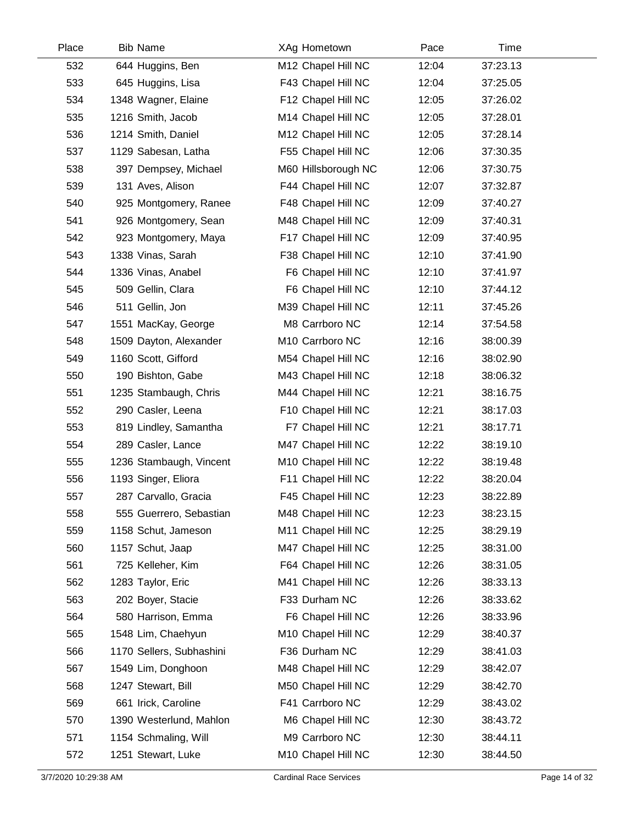| Place | <b>Bib Name</b>          | XAg Hometown                   | Pace  | Time     |  |
|-------|--------------------------|--------------------------------|-------|----------|--|
| 532   | 644 Huggins, Ben         | M12 Chapel Hill NC             | 12:04 | 37:23.13 |  |
| 533   | 645 Huggins, Lisa        | F43 Chapel Hill NC             | 12:04 | 37:25.05 |  |
| 534   | 1348 Wagner, Elaine      | F12 Chapel Hill NC             | 12:05 | 37:26.02 |  |
| 535   | 1216 Smith, Jacob        | M14 Chapel Hill NC             | 12:05 | 37:28.01 |  |
| 536   | 1214 Smith, Daniel       | M12 Chapel Hill NC             | 12:05 | 37:28.14 |  |
| 537   | 1129 Sabesan, Latha      | F55 Chapel Hill NC             | 12:06 | 37:30.35 |  |
| 538   | 397 Dempsey, Michael     | M60 Hillsborough NC            | 12:06 | 37:30.75 |  |
| 539   | 131 Aves, Alison         | F44 Chapel Hill NC             | 12:07 | 37:32.87 |  |
| 540   | 925 Montgomery, Ranee    | F48 Chapel Hill NC             | 12:09 | 37:40.27 |  |
| 541   | 926 Montgomery, Sean     | M48 Chapel Hill NC             | 12:09 | 37:40.31 |  |
| 542   | 923 Montgomery, Maya     | F17 Chapel Hill NC             | 12:09 | 37:40.95 |  |
| 543   | 1338 Vinas, Sarah        | F38 Chapel Hill NC             | 12:10 | 37:41.90 |  |
| 544   | 1336 Vinas, Anabel       | F6 Chapel Hill NC              | 12:10 | 37:41.97 |  |
| 545   | 509 Gellin, Clara        | F6 Chapel Hill NC              | 12:10 | 37:44.12 |  |
| 546   | 511 Gellin, Jon          | M39 Chapel Hill NC             | 12:11 | 37:45.26 |  |
| 547   | 1551 MacKay, George      | M8 Carrboro NC                 | 12:14 | 37:54.58 |  |
| 548   | 1509 Dayton, Alexander   | M10 Carrboro NC                | 12:16 | 38:00.39 |  |
| 549   | 1160 Scott, Gifford      | M54 Chapel Hill NC             | 12:16 | 38:02.90 |  |
| 550   | 190 Bishton, Gabe        | M43 Chapel Hill NC             | 12:18 | 38:06.32 |  |
| 551   | 1235 Stambaugh, Chris    | M44 Chapel Hill NC             | 12:21 | 38:16.75 |  |
| 552   | 290 Casler, Leena        | F10 Chapel Hill NC             | 12:21 | 38:17.03 |  |
| 553   | 819 Lindley, Samantha    | F7 Chapel Hill NC              | 12:21 | 38:17.71 |  |
| 554   | 289 Casler, Lance        | M47 Chapel Hill NC             | 12:22 | 38:19.10 |  |
| 555   | 1236 Stambaugh, Vincent  | M10 Chapel Hill NC             | 12:22 | 38:19.48 |  |
| 556   | 1193 Singer, Eliora      | F11 Chapel Hill NC             | 12:22 | 38:20.04 |  |
| 557   | 287 Carvallo, Gracia     | F45 Chapel Hill NC             | 12:23 | 38:22.89 |  |
| 558   | 555 Guerrero, Sebastian  | M48 Chapel Hill NC             | 12:23 | 38:23.15 |  |
| 559   | 1158 Schut, Jameson      | M11 Chapel Hill NC             | 12:25 | 38:29.19 |  |
| 560   | 1157 Schut, Jaap         | M47 Chapel Hill NC             | 12:25 | 38:31.00 |  |
| 561   | 725 Kelleher, Kim        | F64 Chapel Hill NC             | 12:26 | 38:31.05 |  |
| 562   | 1283 Taylor, Eric        | M41 Chapel Hill NC             | 12:26 | 38:33.13 |  |
| 563   | 202 Boyer, Stacie        | F33 Durham NC                  | 12:26 | 38:33.62 |  |
| 564   | 580 Harrison, Emma       | F6 Chapel Hill NC              | 12:26 | 38:33.96 |  |
| 565   | 1548 Lim, Chaehyun       | M <sub>10</sub> Chapel Hill NC | 12:29 | 38:40.37 |  |
| 566   | 1170 Sellers, Subhashini | F36 Durham NC                  | 12:29 | 38:41.03 |  |
| 567   | 1549 Lim, Donghoon       | M48 Chapel Hill NC             | 12:29 | 38:42.07 |  |
| 568   | 1247 Stewart, Bill       | M50 Chapel Hill NC             | 12:29 | 38:42.70 |  |
| 569   | 661 Irick, Caroline      | F41 Carrboro NC                | 12:29 | 38:43.02 |  |
| 570   | 1390 Westerlund, Mahlon  | M6 Chapel Hill NC              | 12:30 | 38:43.72 |  |
| 571   | 1154 Schmaling, Will     | M9 Carrboro NC                 | 12:30 | 38:44.11 |  |
| 572   | 1251 Stewart, Luke       | M10 Chapel Hill NC             | 12:30 | 38:44.50 |  |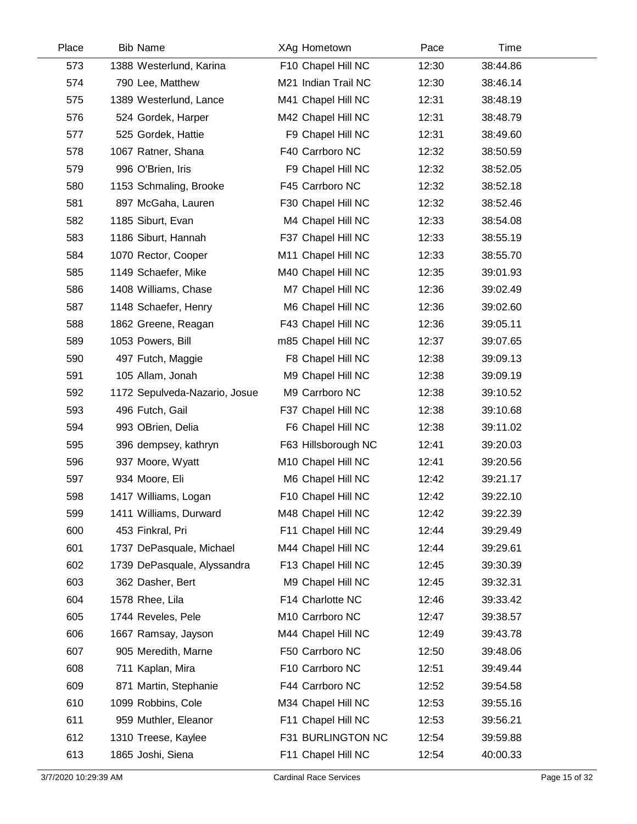| Place | <b>Bib Name</b>               | XAg Hometown        | Pace  | Time     |  |
|-------|-------------------------------|---------------------|-------|----------|--|
| 573   | 1388 Westerlund, Karina       | F10 Chapel Hill NC  | 12:30 | 38:44.86 |  |
| 574   | 790 Lee, Matthew              | M21 Indian Trail NC | 12:30 | 38:46.14 |  |
| 575   | 1389 Westerlund, Lance        | M41 Chapel Hill NC  | 12:31 | 38:48.19 |  |
| 576   | 524 Gordek, Harper            | M42 Chapel Hill NC  | 12:31 | 38:48.79 |  |
| 577   | 525 Gordek, Hattie            | F9 Chapel Hill NC   | 12:31 | 38:49.60 |  |
| 578   | 1067 Ratner, Shana            | F40 Carrboro NC     | 12:32 | 38:50.59 |  |
| 579   | 996 O'Brien, Iris             | F9 Chapel Hill NC   | 12:32 | 38:52.05 |  |
| 580   | 1153 Schmaling, Brooke        | F45 Carrboro NC     | 12:32 | 38:52.18 |  |
| 581   | 897 McGaha, Lauren            | F30 Chapel Hill NC  | 12:32 | 38:52.46 |  |
| 582   | 1185 Siburt, Evan             | M4 Chapel Hill NC   | 12:33 | 38:54.08 |  |
| 583   | 1186 Siburt, Hannah           | F37 Chapel Hill NC  | 12:33 | 38:55.19 |  |
| 584   | 1070 Rector, Cooper           | M11 Chapel Hill NC  | 12:33 | 38:55.70 |  |
| 585   | 1149 Schaefer, Mike           | M40 Chapel Hill NC  | 12:35 | 39:01.93 |  |
| 586   | 1408 Williams, Chase          | M7 Chapel Hill NC   | 12:36 | 39:02.49 |  |
| 587   | 1148 Schaefer, Henry          | M6 Chapel Hill NC   | 12:36 | 39:02.60 |  |
| 588   | 1862 Greene, Reagan           | F43 Chapel Hill NC  | 12:36 | 39:05.11 |  |
| 589   | 1053 Powers, Bill             | m85 Chapel Hill NC  | 12:37 | 39:07.65 |  |
| 590   | 497 Futch, Maggie             | F8 Chapel Hill NC   | 12:38 | 39:09.13 |  |
| 591   | 105 Allam, Jonah              | M9 Chapel Hill NC   | 12:38 | 39:09.19 |  |
| 592   | 1172 Sepulveda-Nazario, Josue | M9 Carrboro NC      | 12:38 | 39:10.52 |  |
| 593   | 496 Futch, Gail               | F37 Chapel Hill NC  | 12:38 | 39:10.68 |  |
| 594   | 993 OBrien, Delia             | F6 Chapel Hill NC   | 12:38 | 39:11.02 |  |
| 595   | 396 dempsey, kathryn          | F63 Hillsborough NC | 12:41 | 39:20.03 |  |
| 596   | 937 Moore, Wyatt              | M10 Chapel Hill NC  | 12:41 | 39:20.56 |  |
| 597   | 934 Moore, Eli                | M6 Chapel Hill NC   | 12:42 | 39:21.17 |  |
| 598   | 1417 Williams, Logan          | F10 Chapel Hill NC  | 12:42 | 39:22.10 |  |
| 599   | 1411 Williams, Durward        | M48 Chapel Hill NC  | 12:42 | 39:22.39 |  |
| 600   | 453 Finkral, Pri              | F11 Chapel Hill NC  | 12:44 | 39:29.49 |  |
| 601   | 1737 DePasquale, Michael      | M44 Chapel Hill NC  | 12:44 | 39:29.61 |  |
| 602   | 1739 DePasquale, Alyssandra   | F13 Chapel Hill NC  | 12:45 | 39:30.39 |  |
| 603   | 362 Dasher, Bert              | M9 Chapel Hill NC   | 12:45 | 39:32.31 |  |
| 604   | 1578 Rhee, Lila               | F14 Charlotte NC    | 12:46 | 39:33.42 |  |
| 605   | 1744 Reveles, Pele            | M10 Carrboro NC     | 12:47 | 39:38.57 |  |
| 606   | 1667 Ramsay, Jayson           | M44 Chapel Hill NC  | 12:49 | 39:43.78 |  |
| 607   | 905 Meredith, Marne           | F50 Carrboro NC     | 12:50 | 39:48.06 |  |
| 608   | 711 Kaplan, Mira              | F10 Carrboro NC     | 12:51 | 39:49.44 |  |
| 609   | 871 Martin, Stephanie         | F44 Carrboro NC     | 12:52 | 39:54.58 |  |
| 610   | 1099 Robbins, Cole            | M34 Chapel Hill NC  | 12:53 | 39:55.16 |  |
| 611   | 959 Muthler, Eleanor          | F11 Chapel Hill NC  | 12:53 | 39:56.21 |  |
| 612   | 1310 Treese, Kaylee           | F31 BURLINGTON NC   | 12:54 | 39:59.88 |  |
| 613   | 1865 Joshi, Siena             | F11 Chapel Hill NC  | 12:54 | 40:00.33 |  |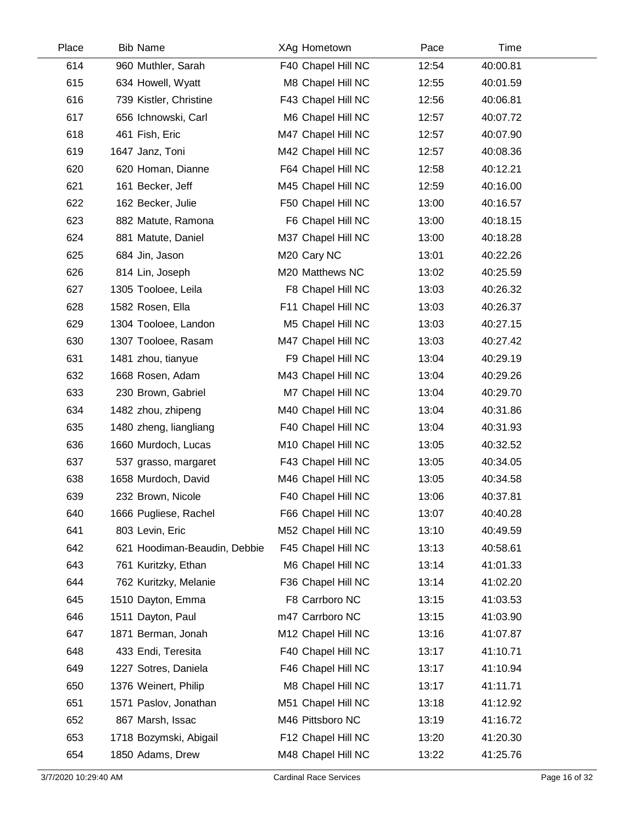| Place | <b>Bib Name</b>              | XAg Hometown       | Pace  | Time     |  |
|-------|------------------------------|--------------------|-------|----------|--|
| 614   | 960 Muthler, Sarah           | F40 Chapel Hill NC | 12:54 | 40:00.81 |  |
| 615   | 634 Howell, Wyatt            | M8 Chapel Hill NC  | 12:55 | 40:01.59 |  |
| 616   | 739 Kistler, Christine       | F43 Chapel Hill NC | 12:56 | 40:06.81 |  |
| 617   | 656 Ichnowski, Carl          | M6 Chapel Hill NC  | 12:57 | 40:07.72 |  |
| 618   | 461 Fish, Eric               | M47 Chapel Hill NC | 12:57 | 40:07.90 |  |
| 619   | 1647 Janz, Toni              | M42 Chapel Hill NC | 12:57 | 40:08.36 |  |
| 620   | 620 Homan, Dianne            | F64 Chapel Hill NC | 12:58 | 40:12.21 |  |
| 621   | 161 Becker, Jeff             | M45 Chapel Hill NC | 12:59 | 40:16.00 |  |
| 622   | 162 Becker, Julie            | F50 Chapel Hill NC | 13:00 | 40:16.57 |  |
| 623   | 882 Matute, Ramona           | F6 Chapel Hill NC  | 13:00 | 40:18.15 |  |
| 624   | 881 Matute, Daniel           | M37 Chapel Hill NC | 13:00 | 40:18.28 |  |
| 625   | 684 Jin, Jason               | M20 Cary NC        | 13:01 | 40:22.26 |  |
| 626   | 814 Lin, Joseph              | M20 Matthews NC    | 13:02 | 40:25.59 |  |
| 627   | 1305 Tooloee, Leila          | F8 Chapel Hill NC  | 13:03 | 40:26.32 |  |
| 628   | 1582 Rosen, Ella             | F11 Chapel Hill NC | 13:03 | 40:26.37 |  |
| 629   | 1304 Tooloee, Landon         | M5 Chapel Hill NC  | 13:03 | 40:27.15 |  |
| 630   | 1307 Tooloee, Rasam          | M47 Chapel Hill NC | 13:03 | 40:27.42 |  |
| 631   | 1481 zhou, tianyue           | F9 Chapel Hill NC  | 13:04 | 40:29.19 |  |
| 632   | 1668 Rosen, Adam             | M43 Chapel Hill NC | 13:04 | 40:29.26 |  |
| 633   | 230 Brown, Gabriel           | M7 Chapel Hill NC  | 13:04 | 40:29.70 |  |
| 634   | 1482 zhou, zhipeng           | M40 Chapel Hill NC | 13:04 | 40:31.86 |  |
| 635   | 1480 zheng, liangliang       | F40 Chapel Hill NC | 13:04 | 40:31.93 |  |
| 636   | 1660 Murdoch, Lucas          | M10 Chapel Hill NC | 13:05 | 40:32.52 |  |
| 637   | 537 grasso, margaret         | F43 Chapel Hill NC | 13:05 | 40:34.05 |  |
| 638   | 1658 Murdoch, David          | M46 Chapel Hill NC | 13:05 | 40:34.58 |  |
| 639   | 232 Brown, Nicole            | F40 Chapel Hill NC | 13:06 | 40:37.81 |  |
| 640   | 1666 Pugliese, Rachel        | F66 Chapel Hill NC | 13:07 | 40:40.28 |  |
| 641   | 803 Levin, Eric              | M52 Chapel Hill NC | 13:10 | 40:49.59 |  |
| 642   | 621 Hoodiman-Beaudin, Debbie | F45 Chapel Hill NC | 13:13 | 40:58.61 |  |
| 643   | 761 Kuritzky, Ethan          | M6 Chapel Hill NC  | 13:14 | 41:01.33 |  |
| 644   | 762 Kuritzky, Melanie        | F36 Chapel Hill NC | 13:14 | 41:02.20 |  |
| 645   | 1510 Dayton, Emma            | F8 Carrboro NC     | 13:15 | 41:03.53 |  |
| 646   | 1511 Dayton, Paul            | m47 Carrboro NC    | 13:15 | 41:03.90 |  |
| 647   | 1871 Berman, Jonah           | M12 Chapel Hill NC | 13:16 | 41:07.87 |  |
| 648   | 433 Endi, Teresita           | F40 Chapel Hill NC | 13:17 | 41:10.71 |  |
| 649   | 1227 Sotres, Daniela         | F46 Chapel Hill NC | 13:17 | 41:10.94 |  |
| 650   | 1376 Weinert, Philip         | M8 Chapel Hill NC  | 13:17 | 41:11.71 |  |
| 651   | 1571 Paslov, Jonathan        | M51 Chapel Hill NC | 13:18 | 41:12.92 |  |
| 652   | 867 Marsh, Issac             | M46 Pittsboro NC   | 13:19 | 41:16.72 |  |
| 653   | 1718 Bozymski, Abigail       | F12 Chapel Hill NC | 13:20 | 41:20.30 |  |
| 654   | 1850 Adams, Drew             | M48 Chapel Hill NC | 13:22 | 41:25.76 |  |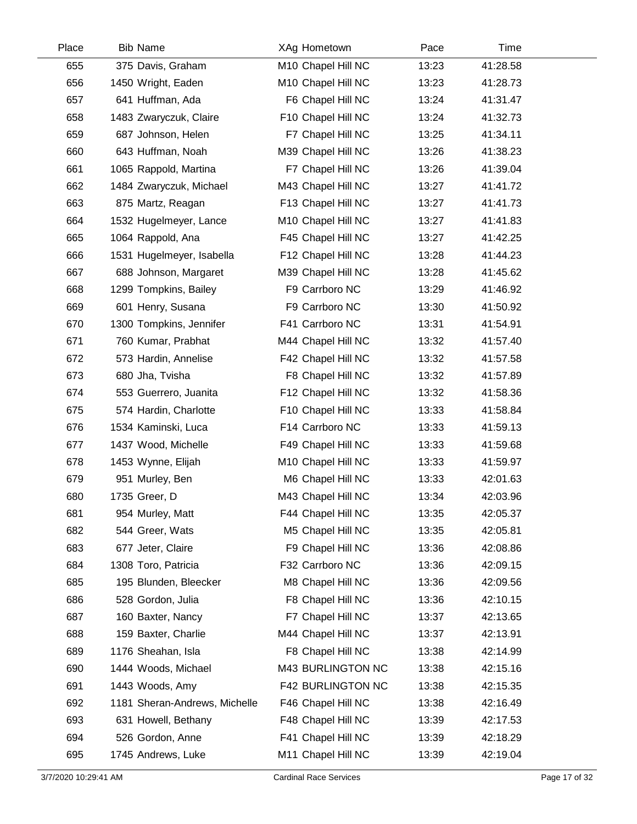| Place | <b>Bib Name</b>               | XAg Hometown       | Pace  | Time     |  |
|-------|-------------------------------|--------------------|-------|----------|--|
| 655   | 375 Davis, Graham             | M10 Chapel Hill NC | 13:23 | 41:28.58 |  |
| 656   | 1450 Wright, Eaden            | M10 Chapel Hill NC | 13:23 | 41:28.73 |  |
| 657   | 641 Huffman, Ada              | F6 Chapel Hill NC  | 13:24 | 41:31.47 |  |
| 658   | 1483 Zwaryczuk, Claire        | F10 Chapel Hill NC | 13:24 | 41:32.73 |  |
| 659   | 687 Johnson, Helen            | F7 Chapel Hill NC  | 13:25 | 41:34.11 |  |
| 660   | 643 Huffman, Noah             | M39 Chapel Hill NC | 13:26 | 41:38.23 |  |
| 661   | 1065 Rappold, Martina         | F7 Chapel Hill NC  | 13:26 | 41:39.04 |  |
| 662   | 1484 Zwaryczuk, Michael       | M43 Chapel Hill NC | 13:27 | 41:41.72 |  |
| 663   | 875 Martz, Reagan             | F13 Chapel Hill NC | 13:27 | 41:41.73 |  |
| 664   | 1532 Hugelmeyer, Lance        | M10 Chapel Hill NC | 13:27 | 41:41.83 |  |
| 665   | 1064 Rappold, Ana             | F45 Chapel Hill NC | 13:27 | 41:42.25 |  |
| 666   | 1531 Hugelmeyer, Isabella     | F12 Chapel Hill NC | 13:28 | 41:44.23 |  |
| 667   | 688 Johnson, Margaret         | M39 Chapel Hill NC | 13:28 | 41:45.62 |  |
| 668   | 1299 Tompkins, Bailey         | F9 Carrboro NC     | 13:29 | 41:46.92 |  |
| 669   | 601 Henry, Susana             | F9 Carrboro NC     | 13:30 | 41:50.92 |  |
| 670   | 1300 Tompkins, Jennifer       | F41 Carrboro NC    | 13:31 | 41:54.91 |  |
| 671   | 760 Kumar, Prabhat            | M44 Chapel Hill NC | 13:32 | 41:57.40 |  |
| 672   | 573 Hardin, Annelise          | F42 Chapel Hill NC | 13:32 | 41:57.58 |  |
| 673   | 680 Jha, Tvisha               | F8 Chapel Hill NC  | 13:32 | 41:57.89 |  |
| 674   | 553 Guerrero, Juanita         | F12 Chapel Hill NC | 13:32 | 41:58.36 |  |
| 675   | 574 Hardin, Charlotte         | F10 Chapel Hill NC | 13:33 | 41:58.84 |  |
| 676   | 1534 Kaminski, Luca           | F14 Carrboro NC    | 13:33 | 41:59.13 |  |
| 677   | 1437 Wood, Michelle           | F49 Chapel Hill NC | 13:33 | 41:59.68 |  |
| 678   | 1453 Wynne, Elijah            | M10 Chapel Hill NC | 13:33 | 41:59.97 |  |
| 679   | 951 Murley, Ben               | M6 Chapel Hill NC  | 13:33 | 42:01.63 |  |
| 680   | 1735 Greer, D                 | M43 Chapel Hill NC | 13:34 | 42:03.96 |  |
| 681   | 954 Murley, Matt              | F44 Chapel Hill NC | 13:35 | 42:05.37 |  |
| 682   | 544 Greer, Wats               | M5 Chapel Hill NC  | 13:35 | 42:05.81 |  |
| 683   | 677 Jeter, Claire             | F9 Chapel Hill NC  | 13:36 | 42:08.86 |  |
| 684   | 1308 Toro, Patricia           | F32 Carrboro NC    | 13:36 | 42:09.15 |  |
| 685   | 195 Blunden, Bleecker         | M8 Chapel Hill NC  | 13:36 | 42:09.56 |  |
| 686   | 528 Gordon, Julia             | F8 Chapel Hill NC  | 13:36 | 42:10.15 |  |
| 687   | 160 Baxter, Nancy             | F7 Chapel Hill NC  | 13:37 | 42:13.65 |  |
| 688   | 159 Baxter, Charlie           | M44 Chapel Hill NC | 13:37 | 42:13.91 |  |
| 689   | 1176 Sheahan, Isla            | F8 Chapel Hill NC  | 13:38 | 42:14.99 |  |
| 690   | 1444 Woods, Michael           | M43 BURLINGTON NC  | 13:38 | 42:15.16 |  |
| 691   | 1443 Woods, Amy               | F42 BURLINGTON NC  | 13:38 | 42:15.35 |  |
| 692   | 1181 Sheran-Andrews, Michelle | F46 Chapel Hill NC | 13:38 | 42:16.49 |  |
| 693   | 631 Howell, Bethany           | F48 Chapel Hill NC | 13:39 | 42:17.53 |  |
| 694   | 526 Gordon, Anne              | F41 Chapel Hill NC | 13:39 | 42:18.29 |  |
| 695   | 1745 Andrews, Luke            | M11 Chapel Hill NC | 13:39 | 42:19.04 |  |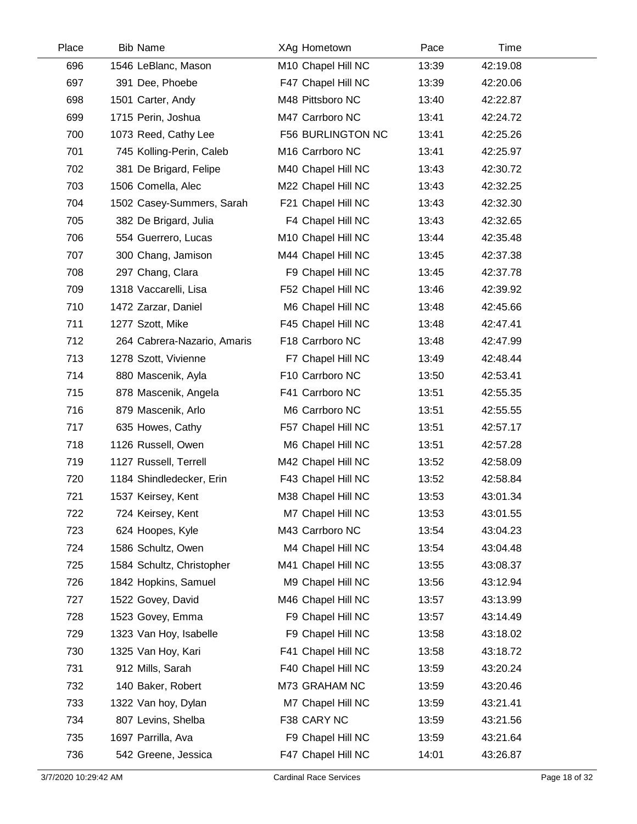| Place | <b>Bib Name</b>             | XAg Hometown                   | Pace  | Time     |  |
|-------|-----------------------------|--------------------------------|-------|----------|--|
| 696   | 1546 LeBlanc, Mason         | M10 Chapel Hill NC             | 13:39 | 42:19.08 |  |
| 697   | 391 Dee, Phoebe             | F47 Chapel Hill NC             | 13:39 | 42:20.06 |  |
| 698   | 1501 Carter, Andy           | M48 Pittsboro NC               | 13:40 | 42:22.87 |  |
| 699   | 1715 Perin, Joshua          | M47 Carrboro NC                | 13:41 | 42:24.72 |  |
| 700   | 1073 Reed, Cathy Lee        | F56 BURLINGTON NC              | 13:41 | 42:25.26 |  |
| 701   | 745 Kolling-Perin, Caleb    | M16 Carrboro NC                | 13:41 | 42:25.97 |  |
| 702   | 381 De Brigard, Felipe      | M40 Chapel Hill NC             | 13:43 | 42:30.72 |  |
| 703   | 1506 Comella, Alec          | M22 Chapel Hill NC             | 13:43 | 42:32.25 |  |
| 704   | 1502 Casey-Summers, Sarah   | F21 Chapel Hill NC             | 13:43 | 42:32.30 |  |
| 705   | 382 De Brigard, Julia       | F4 Chapel Hill NC              | 13:43 | 42:32.65 |  |
| 706   | 554 Guerrero, Lucas         | M <sub>10</sub> Chapel Hill NC | 13:44 | 42:35.48 |  |
| 707   | 300 Chang, Jamison          | M44 Chapel Hill NC             | 13:45 | 42:37.38 |  |
| 708   | 297 Chang, Clara            | F9 Chapel Hill NC              | 13:45 | 42:37.78 |  |
| 709   | 1318 Vaccarelli, Lisa       | F52 Chapel Hill NC             | 13:46 | 42:39.92 |  |
| 710   | 1472 Zarzar, Daniel         | M6 Chapel Hill NC              | 13:48 | 42:45.66 |  |
| 711   | 1277 Szott, Mike            | F45 Chapel Hill NC             | 13:48 | 42:47.41 |  |
| 712   | 264 Cabrera-Nazario, Amaris | F18 Carrboro NC                | 13:48 | 42:47.99 |  |
| 713   | 1278 Szott, Vivienne        | F7 Chapel Hill NC              | 13:49 | 42:48.44 |  |
| 714   | 880 Mascenik, Ayla          | F10 Carrboro NC                | 13:50 | 42:53.41 |  |
| 715   | 878 Mascenik, Angela        | F41 Carrboro NC                | 13:51 | 42:55.35 |  |
| 716   | 879 Mascenik, Arlo          | M6 Carrboro NC                 | 13:51 | 42:55.55 |  |
| 717   | 635 Howes, Cathy            | F57 Chapel Hill NC             | 13:51 | 42:57.17 |  |
| 718   | 1126 Russell, Owen          | M6 Chapel Hill NC              | 13:51 | 42:57.28 |  |
| 719   | 1127 Russell, Terrell       | M42 Chapel Hill NC             | 13:52 | 42:58.09 |  |
| 720   | 1184 Shindledecker, Erin    | F43 Chapel Hill NC             | 13:52 | 42:58.84 |  |
| 721   | 1537 Keirsey, Kent          | M38 Chapel Hill NC             | 13:53 | 43:01.34 |  |
| 722   | 724 Keirsey, Kent           | M7 Chapel Hill NC              | 13:53 | 43:01.55 |  |
| 723   | 624 Hoopes, Kyle            | M43 Carrboro NC                | 13:54 | 43:04.23 |  |
| 724   | 1586 Schultz, Owen          | M4 Chapel Hill NC              | 13:54 | 43:04.48 |  |
| 725   | 1584 Schultz, Christopher   | M41 Chapel Hill NC             | 13:55 | 43:08.37 |  |
| 726   | 1842 Hopkins, Samuel        | M9 Chapel Hill NC              | 13:56 | 43:12.94 |  |
| 727   | 1522 Govey, David           | M46 Chapel Hill NC             | 13:57 | 43:13.99 |  |
| 728   | 1523 Govey, Emma            | F9 Chapel Hill NC              | 13:57 | 43:14.49 |  |
| 729   | 1323 Van Hoy, Isabelle      | F9 Chapel Hill NC              | 13:58 | 43:18.02 |  |
| 730   | 1325 Van Hoy, Kari          | F41 Chapel Hill NC             | 13:58 | 43:18.72 |  |
| 731   | 912 Mills, Sarah            | F40 Chapel Hill NC             | 13:59 | 43:20.24 |  |
| 732   | 140 Baker, Robert           | M73 GRAHAM NC                  | 13:59 | 43:20.46 |  |
| 733   | 1322 Van hoy, Dylan         | M7 Chapel Hill NC              | 13:59 | 43:21.41 |  |
| 734   | 807 Levins, Shelba          | F38 CARY NC                    | 13:59 | 43:21.56 |  |
| 735   | 1697 Parrilla, Ava          | F9 Chapel Hill NC              | 13:59 | 43:21.64 |  |
| 736   | 542 Greene, Jessica         | F47 Chapel Hill NC             | 14:01 | 43:26.87 |  |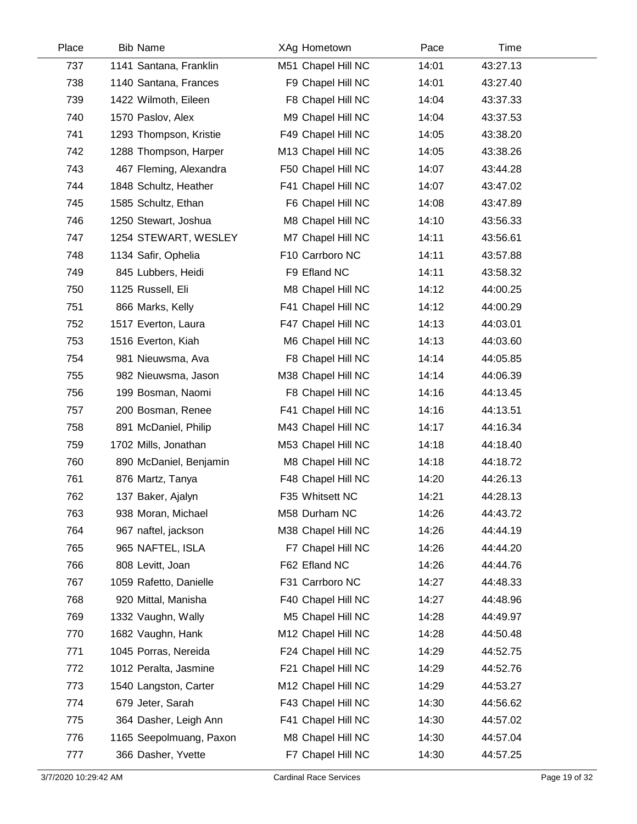| Place | <b>Bib Name</b>         | XAg Hometown       | Pace  | Time     |  |
|-------|-------------------------|--------------------|-------|----------|--|
| 737   | 1141 Santana, Franklin  | M51 Chapel Hill NC | 14:01 | 43:27.13 |  |
| 738   | 1140 Santana, Frances   | F9 Chapel Hill NC  | 14:01 | 43:27.40 |  |
| 739   | 1422 Wilmoth, Eileen    | F8 Chapel Hill NC  | 14:04 | 43:37.33 |  |
| 740   | 1570 Paslov, Alex       | M9 Chapel Hill NC  | 14:04 | 43:37.53 |  |
| 741   | 1293 Thompson, Kristie  | F49 Chapel Hill NC | 14:05 | 43:38.20 |  |
| 742   | 1288 Thompson, Harper   | M13 Chapel Hill NC | 14:05 | 43:38.26 |  |
| 743   | 467 Fleming, Alexandra  | F50 Chapel Hill NC | 14:07 | 43:44.28 |  |
| 744   | 1848 Schultz, Heather   | F41 Chapel Hill NC | 14:07 | 43:47.02 |  |
| 745   | 1585 Schultz, Ethan     | F6 Chapel Hill NC  | 14:08 | 43:47.89 |  |
| 746   | 1250 Stewart, Joshua    | M8 Chapel Hill NC  | 14:10 | 43:56.33 |  |
| 747   | 1254 STEWART, WESLEY    | M7 Chapel Hill NC  | 14:11 | 43:56.61 |  |
| 748   | 1134 Safir, Ophelia     | F10 Carrboro NC    | 14:11 | 43:57.88 |  |
| 749   | 845 Lubbers, Heidi      | F9 Efland NC       | 14:11 | 43:58.32 |  |
| 750   | 1125 Russell, Eli       | M8 Chapel Hill NC  | 14:12 | 44:00.25 |  |
| 751   | 866 Marks, Kelly        | F41 Chapel Hill NC | 14:12 | 44:00.29 |  |
| 752   | 1517 Everton, Laura     | F47 Chapel Hill NC | 14:13 | 44:03.01 |  |
| 753   | 1516 Everton, Kiah      | M6 Chapel Hill NC  | 14:13 | 44:03.60 |  |
| 754   | 981 Nieuwsma, Ava       | F8 Chapel Hill NC  | 14:14 | 44:05.85 |  |
| 755   | 982 Nieuwsma, Jason     | M38 Chapel Hill NC | 14:14 | 44:06.39 |  |
| 756   | 199 Bosman, Naomi       | F8 Chapel Hill NC  | 14:16 | 44:13.45 |  |
| 757   | 200 Bosman, Renee       | F41 Chapel Hill NC | 14:16 | 44:13.51 |  |
| 758   | 891 McDaniel, Philip    | M43 Chapel Hill NC | 14:17 | 44:16.34 |  |
| 759   | 1702 Mills, Jonathan    | M53 Chapel Hill NC | 14:18 | 44:18.40 |  |
| 760   | 890 McDaniel, Benjamin  | M8 Chapel Hill NC  | 14:18 | 44:18.72 |  |
| 761   | 876 Martz, Tanya        | F48 Chapel Hill NC | 14:20 | 44:26.13 |  |
| 762   | 137 Baker, Ajalyn       | F35 Whitsett NC    | 14:21 | 44:28.13 |  |
| 763   | 938 Moran, Michael      | M58 Durham NC      | 14:26 | 44:43.72 |  |
| 764   | 967 naftel, jackson     | M38 Chapel Hill NC | 14:26 | 44:44.19 |  |
| 765   | 965 NAFTEL, ISLA        | F7 Chapel Hill NC  | 14:26 | 44:44.20 |  |
| 766   | 808 Levitt, Joan        | F62 Efland NC      | 14:26 | 44:44.76 |  |
| 767   | 1059 Rafetto, Danielle  | F31 Carrboro NC    | 14:27 | 44:48.33 |  |
| 768   | 920 Mittal, Manisha     | F40 Chapel Hill NC | 14:27 | 44:48.96 |  |
| 769   | 1332 Vaughn, Wally      | M5 Chapel Hill NC  | 14:28 | 44:49.97 |  |
| 770   | 1682 Vaughn, Hank       | M12 Chapel Hill NC | 14:28 | 44:50.48 |  |
| 771   | 1045 Porras, Nereida    | F24 Chapel Hill NC | 14:29 | 44:52.75 |  |
| 772   | 1012 Peralta, Jasmine   | F21 Chapel Hill NC | 14:29 | 44:52.76 |  |
| 773   | 1540 Langston, Carter   | M12 Chapel Hill NC | 14:29 | 44:53.27 |  |
| 774   | 679 Jeter, Sarah        | F43 Chapel Hill NC | 14:30 | 44:56.62 |  |
| 775   | 364 Dasher, Leigh Ann   | F41 Chapel Hill NC | 14:30 | 44:57.02 |  |
| 776   | 1165 Seepolmuang, Paxon | M8 Chapel Hill NC  | 14:30 | 44:57.04 |  |
| 777   | 366 Dasher, Yvette      | F7 Chapel Hill NC  | 14:30 | 44:57.25 |  |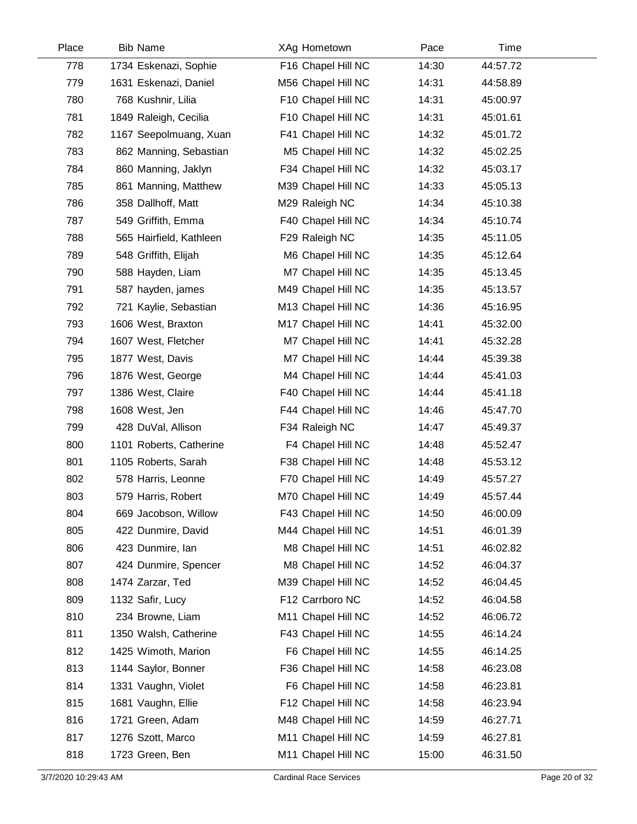| Place | <b>Bib Name</b>         | XAg Hometown       | Pace  | Time     |  |
|-------|-------------------------|--------------------|-------|----------|--|
| 778   | 1734 Eskenazi, Sophie   | F16 Chapel Hill NC | 14:30 | 44:57.72 |  |
| 779   | 1631 Eskenazi, Daniel   | M56 Chapel Hill NC | 14:31 | 44:58.89 |  |
| 780   | 768 Kushnir, Lilia      | F10 Chapel Hill NC | 14:31 | 45:00.97 |  |
| 781   | 1849 Raleigh, Cecilia   | F10 Chapel Hill NC | 14:31 | 45:01.61 |  |
| 782   | 1167 Seepolmuang, Xuan  | F41 Chapel Hill NC | 14:32 | 45:01.72 |  |
| 783   | 862 Manning, Sebastian  | M5 Chapel Hill NC  | 14:32 | 45:02.25 |  |
| 784   | 860 Manning, Jaklyn     | F34 Chapel Hill NC | 14:32 | 45:03.17 |  |
| 785   | 861 Manning, Matthew    | M39 Chapel Hill NC | 14:33 | 45:05.13 |  |
| 786   | 358 Dallhoff, Matt      | M29 Raleigh NC     | 14:34 | 45:10.38 |  |
| 787   | 549 Griffith, Emma      | F40 Chapel Hill NC | 14:34 | 45:10.74 |  |
| 788   | 565 Hairfield, Kathleen | F29 Raleigh NC     | 14:35 | 45:11.05 |  |
| 789   | 548 Griffith, Elijah    | M6 Chapel Hill NC  | 14:35 | 45:12.64 |  |
| 790   | 588 Hayden, Liam        | M7 Chapel Hill NC  | 14:35 | 45:13.45 |  |
| 791   | 587 hayden, james       | M49 Chapel Hill NC | 14:35 | 45:13.57 |  |
| 792   | 721 Kaylie, Sebastian   | M13 Chapel Hill NC | 14:36 | 45:16.95 |  |
| 793   | 1606 West, Braxton      | M17 Chapel Hill NC | 14:41 | 45:32.00 |  |
| 794   | 1607 West, Fletcher     | M7 Chapel Hill NC  | 14:41 | 45:32.28 |  |
| 795   | 1877 West, Davis        | M7 Chapel Hill NC  | 14:44 | 45:39.38 |  |
| 796   | 1876 West, George       | M4 Chapel Hill NC  | 14:44 | 45:41.03 |  |
| 797   | 1386 West, Claire       | F40 Chapel Hill NC | 14:44 | 45:41.18 |  |
| 798   | 1608 West, Jen          | F44 Chapel Hill NC | 14:46 | 45:47.70 |  |
| 799   | 428 DuVal, Allison      | F34 Raleigh NC     | 14:47 | 45:49.37 |  |
| 800   | 1101 Roberts, Catherine | F4 Chapel Hill NC  | 14:48 | 45:52.47 |  |
| 801   | 1105 Roberts, Sarah     | F38 Chapel Hill NC | 14:48 | 45:53.12 |  |
| 802   | 578 Harris, Leonne      | F70 Chapel Hill NC | 14:49 | 45:57.27 |  |
| 803   | 579 Harris, Robert      | M70 Chapel Hill NC | 14:49 | 45:57.44 |  |
| 804   | 669 Jacobson, Willow    | F43 Chapel Hill NC | 14:50 | 46:00.09 |  |
| 805   | 422 Dunmire, David      | M44 Chapel Hill NC | 14:51 | 46:01.39 |  |
| 806   | 423 Dunmire, Ian        | M8 Chapel Hill NC  | 14:51 | 46:02.82 |  |
| 807   | 424 Dunmire, Spencer    | M8 Chapel Hill NC  | 14:52 | 46:04.37 |  |
| 808   | 1474 Zarzar, Ted        | M39 Chapel Hill NC | 14:52 | 46:04.45 |  |
| 809   | 1132 Safir, Lucy        | F12 Carrboro NC    | 14:52 | 46:04.58 |  |
| 810   | 234 Browne, Liam        | M11 Chapel Hill NC | 14:52 | 46:06.72 |  |
| 811   | 1350 Walsh, Catherine   | F43 Chapel Hill NC | 14:55 | 46:14.24 |  |
| 812   | 1425 Wimoth, Marion     | F6 Chapel Hill NC  | 14:55 | 46:14.25 |  |
| 813   | 1144 Saylor, Bonner     | F36 Chapel Hill NC | 14:58 | 46:23.08 |  |
| 814   | 1331 Vaughn, Violet     | F6 Chapel Hill NC  | 14:58 | 46:23.81 |  |
| 815   | 1681 Vaughn, Ellie      | F12 Chapel Hill NC | 14:58 | 46:23.94 |  |
| 816   | 1721 Green, Adam        | M48 Chapel Hill NC | 14:59 | 46:27.71 |  |
| 817   | 1276 Szott, Marco       | M11 Chapel Hill NC | 14:59 | 46:27.81 |  |
| 818   | 1723 Green, Ben         | M11 Chapel Hill NC | 15:00 | 46:31.50 |  |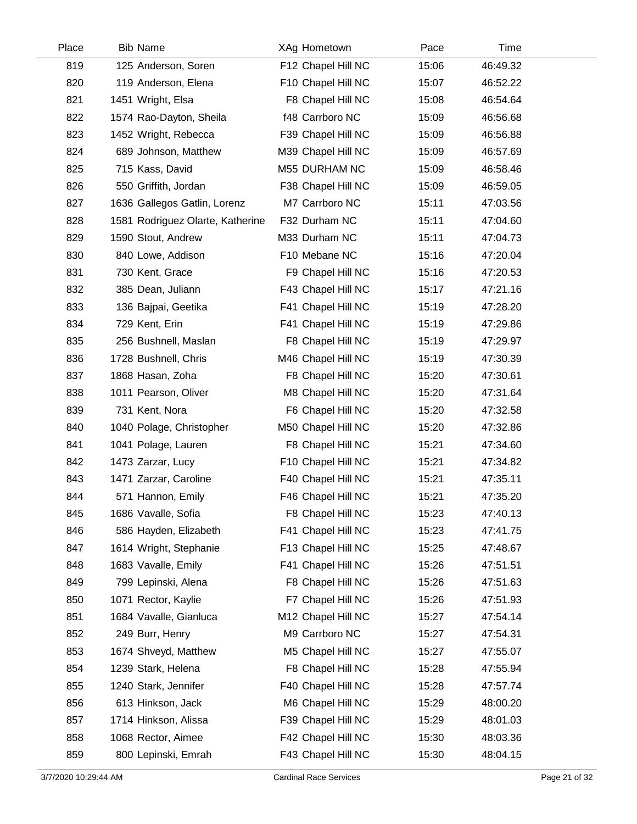| Place | <b>Bib Name</b>                  | XAg Hometown       | Pace  |          | Time |
|-------|----------------------------------|--------------------|-------|----------|------|
| 819   | 125 Anderson, Soren              | F12 Chapel Hill NC | 15:06 | 46:49.32 |      |
| 820   | 119 Anderson, Elena              | F10 Chapel Hill NC | 15:07 | 46:52.22 |      |
| 821   | 1451 Wright, Elsa                | F8 Chapel Hill NC  | 15:08 | 46:54.64 |      |
| 822   | 1574 Rao-Dayton, Sheila          | f48 Carrboro NC    | 15:09 | 46:56.68 |      |
| 823   | 1452 Wright, Rebecca             | F39 Chapel Hill NC | 15:09 | 46:56.88 |      |
| 824   | 689 Johnson, Matthew             | M39 Chapel Hill NC | 15:09 | 46:57.69 |      |
| 825   | 715 Kass, David                  | M55 DURHAM NC      | 15:09 | 46:58.46 |      |
| 826   | 550 Griffith, Jordan             | F38 Chapel Hill NC | 15:09 | 46:59.05 |      |
| 827   | 1636 Gallegos Gatlin, Lorenz     | M7 Carrboro NC     | 15:11 | 47:03.56 |      |
| 828   | 1581 Rodriguez Olarte, Katherine | F32 Durham NC      | 15:11 | 47:04.60 |      |
| 829   | 1590 Stout, Andrew               | M33 Durham NC      | 15:11 | 47:04.73 |      |
| 830   | 840 Lowe, Addison                | F10 Mebane NC      | 15:16 | 47:20.04 |      |
| 831   | 730 Kent, Grace                  | F9 Chapel Hill NC  | 15:16 | 47:20.53 |      |
| 832   | 385 Dean, Juliann                | F43 Chapel Hill NC | 15:17 | 47:21.16 |      |
| 833   | 136 Bajpai, Geetika              | F41 Chapel Hill NC | 15:19 | 47:28.20 |      |
| 834   | 729 Kent, Erin                   | F41 Chapel Hill NC | 15:19 | 47:29.86 |      |
| 835   | 256 Bushnell, Maslan             | F8 Chapel Hill NC  | 15:19 | 47:29.97 |      |
| 836   | 1728 Bushnell, Chris             | M46 Chapel Hill NC | 15:19 | 47:30.39 |      |
| 837   | 1868 Hasan, Zoha                 | F8 Chapel Hill NC  | 15:20 | 47:30.61 |      |
| 838   | 1011 Pearson, Oliver             | M8 Chapel Hill NC  | 15:20 | 47:31.64 |      |
| 839   | 731 Kent, Nora                   | F6 Chapel Hill NC  | 15:20 | 47:32.58 |      |
| 840   | 1040 Polage, Christopher         | M50 Chapel Hill NC | 15:20 | 47:32.86 |      |
| 841   | 1041 Polage, Lauren              | F8 Chapel Hill NC  | 15:21 | 47:34.60 |      |
| 842   | 1473 Zarzar, Lucy                | F10 Chapel Hill NC | 15:21 | 47:34.82 |      |
| 843   | 1471 Zarzar, Caroline            | F40 Chapel Hill NC | 15:21 | 47:35.11 |      |
| 844   | 571 Hannon, Emily                | F46 Chapel Hill NC | 15:21 | 47:35.20 |      |
| 845   | 1686 Vavalle, Sofia              | F8 Chapel Hill NC  | 15:23 | 47:40.13 |      |
| 846   | 586 Hayden, Elizabeth            | F41 Chapel Hill NC | 15:23 | 47:41.75 |      |
| 847   | 1614 Wright, Stephanie           | F13 Chapel Hill NC | 15:25 | 47:48.67 |      |
| 848   | 1683 Vavalle, Emily              | F41 Chapel Hill NC | 15:26 | 47:51.51 |      |
| 849   | 799 Lepinski, Alena              | F8 Chapel Hill NC  | 15:26 | 47:51.63 |      |
| 850   | 1071 Rector, Kaylie              | F7 Chapel Hill NC  | 15:26 | 47:51.93 |      |
| 851   | 1684 Vavalle, Gianluca           | M12 Chapel Hill NC | 15:27 | 47:54.14 |      |
| 852   | 249 Burr, Henry                  | M9 Carrboro NC     | 15:27 | 47:54.31 |      |
| 853   | 1674 Shveyd, Matthew             | M5 Chapel Hill NC  | 15:27 | 47:55.07 |      |
| 854   | 1239 Stark, Helena               | F8 Chapel Hill NC  | 15:28 | 47:55.94 |      |
| 855   | 1240 Stark, Jennifer             | F40 Chapel Hill NC | 15:28 | 47:57.74 |      |
| 856   | 613 Hinkson, Jack                | M6 Chapel Hill NC  | 15:29 | 48:00.20 |      |
| 857   | 1714 Hinkson, Alissa             | F39 Chapel Hill NC | 15:29 | 48:01.03 |      |
| 858   | 1068 Rector, Aimee               | F42 Chapel Hill NC | 15:30 | 48:03.36 |      |
| 859   | 800 Lepinski, Emrah              | F43 Chapel Hill NC | 15:30 | 48:04.15 |      |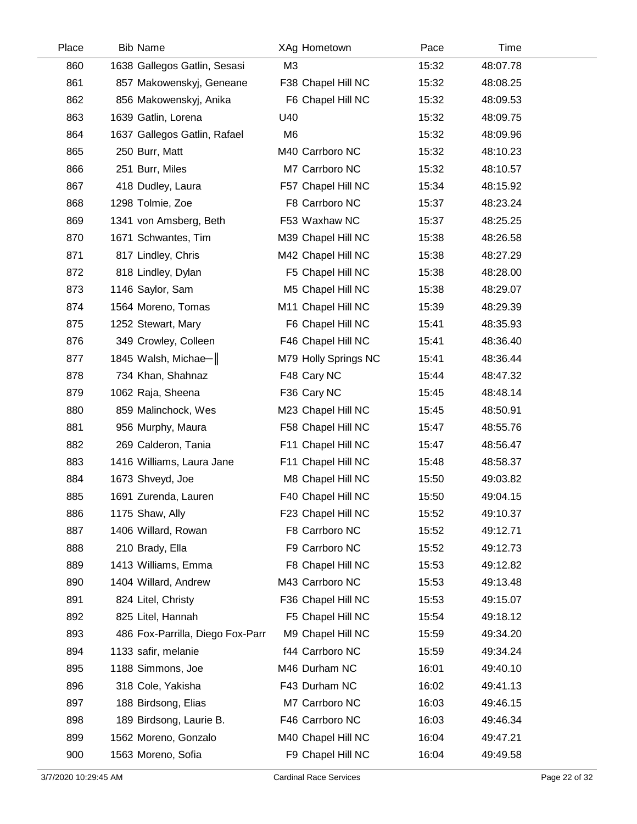| Place | <b>Bib Name</b>                  |                | XAg Hometown         | Pace  |          | Time |  |
|-------|----------------------------------|----------------|----------------------|-------|----------|------|--|
| 860   | 1638 Gallegos Gatlin, Sesasi     | M3             |                      | 15:32 | 48:07.78 |      |  |
| 861   | 857 Makowenskyj, Geneane         |                | F38 Chapel Hill NC   | 15:32 | 48:08.25 |      |  |
| 862   | 856 Makowenskyj, Anika           |                | F6 Chapel Hill NC    | 15:32 | 48:09.53 |      |  |
| 863   | 1639 Gatlin, Lorena              | U40            |                      | 15:32 | 48:09.75 |      |  |
| 864   | 1637 Gallegos Gatlin, Rafael     | M <sub>6</sub> |                      | 15:32 | 48:09.96 |      |  |
| 865   | 250 Burr, Matt                   |                | M40 Carrboro NC      | 15:32 | 48:10.23 |      |  |
| 866   | 251 Burr, Miles                  |                | M7 Carrboro NC       | 15:32 | 48:10.57 |      |  |
| 867   | 418 Dudley, Laura                |                | F57 Chapel Hill NC   | 15:34 | 48:15.92 |      |  |
| 868   | 1298 Tolmie, Zoe                 |                | F8 Carrboro NC       | 15:37 | 48:23.24 |      |  |
| 869   | 1341 von Amsberg, Beth           |                | F53 Waxhaw NC        | 15:37 | 48:25.25 |      |  |
| 870   | 1671 Schwantes, Tim              |                | M39 Chapel Hill NC   | 15:38 | 48:26.58 |      |  |
| 871   | 817 Lindley, Chris               |                | M42 Chapel Hill NC   | 15:38 | 48:27.29 |      |  |
| 872   | 818 Lindley, Dylan               |                | F5 Chapel Hill NC    | 15:38 | 48:28.00 |      |  |
| 873   | 1146 Saylor, Sam                 |                | M5 Chapel Hill NC    | 15:38 | 48:29.07 |      |  |
| 874   | 1564 Moreno, Tomas               |                | M11 Chapel Hill NC   | 15:39 | 48:29.39 |      |  |
| 875   | 1252 Stewart, Mary               |                | F6 Chapel Hill NC    | 15:41 | 48:35.93 |      |  |
| 876   | 349 Crowley, Colleen             |                | F46 Chapel Hill NC   | 15:41 | 48:36.40 |      |  |
| 877   | 1845 Walsh, Michae-              |                | M79 Holly Springs NC | 15:41 | 48:36.44 |      |  |
| 878   | 734 Khan, Shahnaz                |                | F48 Cary NC          | 15:44 | 48:47.32 |      |  |
| 879   | 1062 Raja, Sheena                |                | F36 Cary NC          | 15:45 | 48:48.14 |      |  |
| 880   | 859 Malinchock, Wes              |                | M23 Chapel Hill NC   | 15:45 | 48:50.91 |      |  |
| 881   | 956 Murphy, Maura                |                | F58 Chapel Hill NC   | 15:47 | 48:55.76 |      |  |
| 882   | 269 Calderon, Tania              |                | F11 Chapel Hill NC   | 15:47 | 48:56.47 |      |  |
| 883   | 1416 Williams, Laura Jane        |                | F11 Chapel Hill NC   | 15:48 | 48:58.37 |      |  |
| 884   | 1673 Shveyd, Joe                 |                | M8 Chapel Hill NC    | 15:50 | 49:03.82 |      |  |
| 885   | 1691 Zurenda, Lauren             |                | F40 Chapel Hill NC   | 15:50 | 49:04.15 |      |  |
| 886   | 1175 Shaw, Ally                  |                | F23 Chapel Hill NC   | 15:52 | 49:10.37 |      |  |
| 887   | 1406 Willard, Rowan              |                | F8 Carrboro NC       | 15:52 | 49:12.71 |      |  |
| 888   | 210 Brady, Ella                  |                | F9 Carrboro NC       | 15:52 | 49:12.73 |      |  |
| 889   | 1413 Williams, Emma              |                | F8 Chapel Hill NC    | 15:53 | 49:12.82 |      |  |
| 890   | 1404 Willard, Andrew             |                | M43 Carrboro NC      | 15:53 | 49:13.48 |      |  |
| 891   | 824 Litel, Christy               |                | F36 Chapel Hill NC   | 15:53 | 49:15.07 |      |  |
| 892   | 825 Litel, Hannah                |                | F5 Chapel Hill NC    | 15:54 | 49:18.12 |      |  |
| 893   | 486 Fox-Parrilla, Diego Fox-Parr |                | M9 Chapel Hill NC    | 15:59 | 49:34.20 |      |  |
| 894   | 1133 safir, melanie              |                | f44 Carrboro NC      | 15:59 | 49:34.24 |      |  |
| 895   | 1188 Simmons, Joe                |                | M46 Durham NC        | 16:01 | 49:40.10 |      |  |
| 896   | 318 Cole, Yakisha                |                | F43 Durham NC        | 16:02 | 49:41.13 |      |  |
| 897   | 188 Birdsong, Elias              |                | M7 Carrboro NC       | 16:03 | 49:46.15 |      |  |
| 898   | 189 Birdsong, Laurie B.          |                | F46 Carrboro NC      | 16:03 | 49:46.34 |      |  |
| 899   | 1562 Moreno, Gonzalo             |                | M40 Chapel Hill NC   | 16:04 | 49:47.21 |      |  |
| 900   | 1563 Moreno, Sofia               |                | F9 Chapel Hill NC    | 16:04 | 49:49.58 |      |  |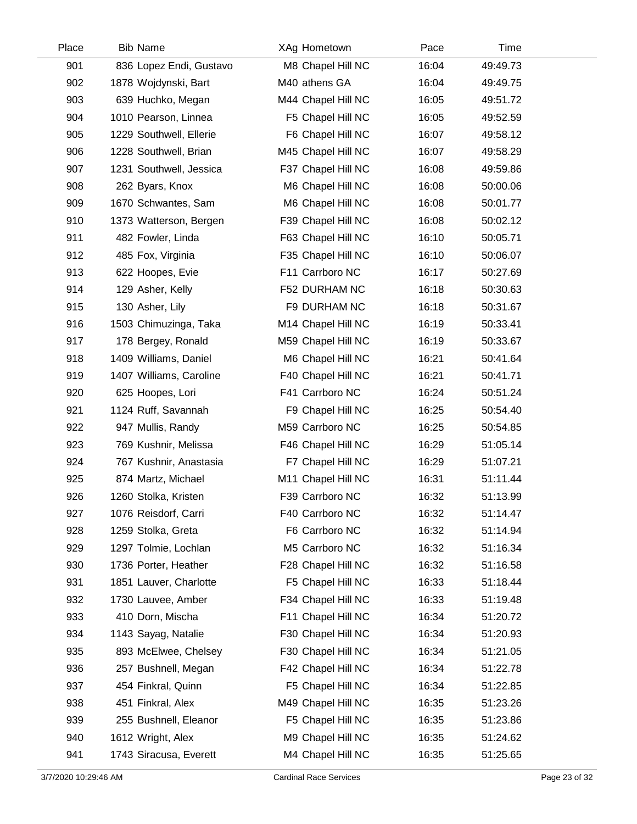| Place | <b>Bib Name</b>         | XAg Hometown       | Pace  | Time     |  |
|-------|-------------------------|--------------------|-------|----------|--|
| 901   | 836 Lopez Endi, Gustavo | M8 Chapel Hill NC  | 16:04 | 49:49.73 |  |
| 902   | 1878 Wojdynski, Bart    | M40 athens GA      | 16:04 | 49:49.75 |  |
| 903   | 639 Huchko, Megan       | M44 Chapel Hill NC | 16:05 | 49:51.72 |  |
| 904   | 1010 Pearson, Linnea    | F5 Chapel Hill NC  | 16:05 | 49:52.59 |  |
| 905   | 1229 Southwell, Ellerie | F6 Chapel Hill NC  | 16:07 | 49:58.12 |  |
| 906   | 1228 Southwell, Brian   | M45 Chapel Hill NC | 16:07 | 49:58.29 |  |
| 907   | 1231 Southwell, Jessica | F37 Chapel Hill NC | 16:08 | 49:59.86 |  |
| 908   | 262 Byars, Knox         | M6 Chapel Hill NC  | 16:08 | 50:00.06 |  |
| 909   | 1670 Schwantes, Sam     | M6 Chapel Hill NC  | 16:08 | 50:01.77 |  |
| 910   | 1373 Watterson, Bergen  | F39 Chapel Hill NC | 16:08 | 50:02.12 |  |
| 911   | 482 Fowler, Linda       | F63 Chapel Hill NC | 16:10 | 50:05.71 |  |
| 912   | 485 Fox, Virginia       | F35 Chapel Hill NC | 16:10 | 50:06.07 |  |
| 913   | 622 Hoopes, Evie        | F11 Carrboro NC    | 16:17 | 50:27.69 |  |
| 914   | 129 Asher, Kelly        | F52 DURHAM NC      | 16:18 | 50:30.63 |  |
| 915   | 130 Asher, Lily         | F9 DURHAM NC       | 16:18 | 50:31.67 |  |
| 916   | 1503 Chimuzinga, Taka   | M14 Chapel Hill NC | 16:19 | 50:33.41 |  |
| 917   | 178 Bergey, Ronald      | M59 Chapel Hill NC | 16:19 | 50:33.67 |  |
| 918   | 1409 Williams, Daniel   | M6 Chapel Hill NC  | 16:21 | 50:41.64 |  |
| 919   | 1407 Williams, Caroline | F40 Chapel Hill NC | 16:21 | 50:41.71 |  |
| 920   | 625 Hoopes, Lori        | F41 Carrboro NC    | 16:24 | 50:51.24 |  |
| 921   | 1124 Ruff, Savannah     | F9 Chapel Hill NC  | 16:25 | 50:54.40 |  |
| 922   | 947 Mullis, Randy       | M59 Carrboro NC    | 16:25 | 50:54.85 |  |
| 923   | 769 Kushnir, Melissa    | F46 Chapel Hill NC | 16:29 | 51:05.14 |  |
| 924   | 767 Kushnir, Anastasia  | F7 Chapel Hill NC  | 16:29 | 51:07.21 |  |
| 925   | 874 Martz, Michael      | M11 Chapel Hill NC | 16:31 | 51:11.44 |  |
| 926   | 1260 Stolka, Kristen    | F39 Carrboro NC    | 16:32 | 51:13.99 |  |
| 927   | 1076 Reisdorf, Carri    | F40 Carrboro NC    | 16:32 | 51:14.47 |  |
| 928   | 1259 Stolka, Greta      | F6 Carrboro NC     | 16:32 | 51:14.94 |  |
| 929   | 1297 Tolmie, Lochlan    | M5 Carrboro NC     | 16:32 | 51:16.34 |  |
| 930   | 1736 Porter, Heather    | F28 Chapel Hill NC | 16:32 | 51:16.58 |  |
| 931   | 1851 Lauver, Charlotte  | F5 Chapel Hill NC  | 16:33 | 51:18.44 |  |
| 932   | 1730 Lauvee, Amber      | F34 Chapel Hill NC | 16:33 | 51:19.48 |  |
| 933   | 410 Dorn, Mischa        | F11 Chapel Hill NC | 16:34 | 51:20.72 |  |
| 934   | 1143 Sayag, Natalie     | F30 Chapel Hill NC | 16:34 | 51:20.93 |  |
| 935   | 893 McElwee, Chelsey    | F30 Chapel Hill NC | 16:34 | 51:21.05 |  |
| 936   | 257 Bushnell, Megan     | F42 Chapel Hill NC | 16:34 | 51:22.78 |  |
| 937   | 454 Finkral, Quinn      | F5 Chapel Hill NC  | 16:34 | 51:22.85 |  |
| 938   | 451 Finkral, Alex       | M49 Chapel Hill NC | 16:35 | 51:23.26 |  |
| 939   | 255 Bushnell, Eleanor   | F5 Chapel Hill NC  | 16:35 | 51:23.86 |  |
| 940   | 1612 Wright, Alex       | M9 Chapel Hill NC  | 16:35 | 51:24.62 |  |
| 941   | 1743 Siracusa, Everett  | M4 Chapel Hill NC  | 16:35 | 51:25.65 |  |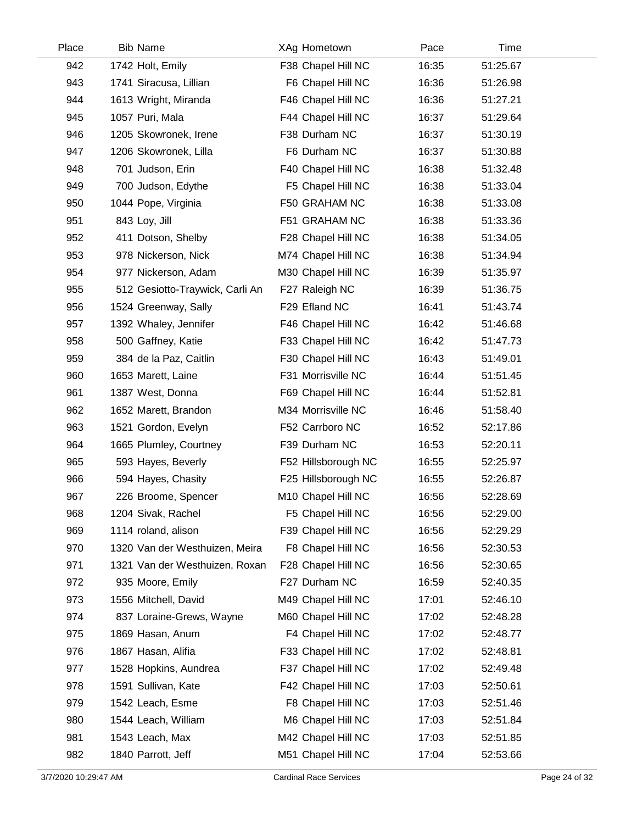| Place | <b>Bib Name</b>                 | XAg Hometown        | Pace  | Time     |
|-------|---------------------------------|---------------------|-------|----------|
| 942   | 1742 Holt, Emily                | F38 Chapel Hill NC  | 16:35 | 51:25.67 |
| 943   | 1741 Siracusa, Lillian          | F6 Chapel Hill NC   | 16:36 | 51:26.98 |
| 944   | 1613 Wright, Miranda            | F46 Chapel Hill NC  | 16:36 | 51:27.21 |
| 945   | 1057 Puri, Mala                 | F44 Chapel Hill NC  | 16:37 | 51:29.64 |
| 946   | 1205 Skowronek, Irene           | F38 Durham NC       | 16:37 | 51:30.19 |
| 947   | 1206 Skowronek, Lilla           | F6 Durham NC        | 16:37 | 51:30.88 |
| 948   | 701 Judson, Erin                | F40 Chapel Hill NC  | 16:38 | 51:32.48 |
| 949   | 700 Judson, Edythe              | F5 Chapel Hill NC   | 16:38 | 51:33.04 |
| 950   | 1044 Pope, Virginia             | F50 GRAHAM NC       | 16:38 | 51:33.08 |
| 951   | 843 Loy, Jill                   | F51 GRAHAM NC       | 16:38 | 51:33.36 |
| 952   | 411 Dotson, Shelby              | F28 Chapel Hill NC  | 16:38 | 51:34.05 |
| 953   | 978 Nickerson, Nick             | M74 Chapel Hill NC  | 16:38 | 51:34.94 |
| 954   | 977 Nickerson, Adam             | M30 Chapel Hill NC  | 16:39 | 51:35.97 |
| 955   | 512 Gesiotto-Traywick, Carli An | F27 Raleigh NC      | 16:39 | 51:36.75 |
| 956   | 1524 Greenway, Sally            | F29 Efland NC       | 16:41 | 51:43.74 |
| 957   | 1392 Whaley, Jennifer           | F46 Chapel Hill NC  | 16:42 | 51:46.68 |
| 958   | 500 Gaffney, Katie              | F33 Chapel Hill NC  | 16:42 | 51:47.73 |
| 959   | 384 de la Paz, Caitlin          | F30 Chapel Hill NC  | 16:43 | 51:49.01 |
| 960   | 1653 Marett, Laine              | F31 Morrisville NC  | 16:44 | 51:51.45 |
| 961   | 1387 West, Donna                | F69 Chapel Hill NC  | 16:44 | 51:52.81 |
| 962   | 1652 Marett, Brandon            | M34 Morrisville NC  | 16:46 | 51:58.40 |
| 963   | 1521 Gordon, Evelyn             | F52 Carrboro NC     | 16:52 | 52:17.86 |
| 964   | 1665 Plumley, Courtney          | F39 Durham NC       | 16:53 | 52:20.11 |
| 965   | 593 Hayes, Beverly              | F52 Hillsborough NC | 16:55 | 52:25.97 |
| 966   | 594 Hayes, Chasity              | F25 Hillsborough NC | 16:55 | 52:26.87 |
| 967   | 226 Broome, Spencer             | M10 Chapel Hill NC  | 16:56 | 52:28.69 |
| 968   | 1204 Sivak, Rachel              | F5 Chapel Hill NC   | 16:56 | 52:29.00 |
| 969   | 1114 roland, alison             | F39 Chapel Hill NC  | 16:56 | 52:29.29 |
| 970   | 1320 Van der Westhuizen, Meira  | F8 Chapel Hill NC   | 16:56 | 52:30.53 |
| 971   | 1321 Van der Westhuizen, Roxan  | F28 Chapel Hill NC  | 16:56 | 52:30.65 |
| 972   | 935 Moore, Emily                | F27 Durham NC       | 16:59 | 52:40.35 |
| 973   | 1556 Mitchell, David            | M49 Chapel Hill NC  | 17:01 | 52:46.10 |
| 974   | 837 Loraine-Grews, Wayne        | M60 Chapel Hill NC  | 17:02 | 52:48.28 |
| 975   | 1869 Hasan, Anum                | F4 Chapel Hill NC   | 17:02 | 52:48.77 |
| 976   | 1867 Hasan, Alifia              | F33 Chapel Hill NC  | 17:02 | 52:48.81 |
| 977   | 1528 Hopkins, Aundrea           | F37 Chapel Hill NC  | 17:02 | 52:49.48 |
| 978   | 1591 Sullivan, Kate             | F42 Chapel Hill NC  | 17:03 | 52:50.61 |
| 979   | 1542 Leach, Esme                | F8 Chapel Hill NC   | 17:03 | 52:51.46 |
| 980   | 1544 Leach, William             | M6 Chapel Hill NC   | 17:03 | 52:51.84 |
| 981   | 1543 Leach, Max                 | M42 Chapel Hill NC  | 17:03 | 52:51.85 |
| 982   | 1840 Parrott, Jeff              | M51 Chapel Hill NC  | 17:04 | 52:53.66 |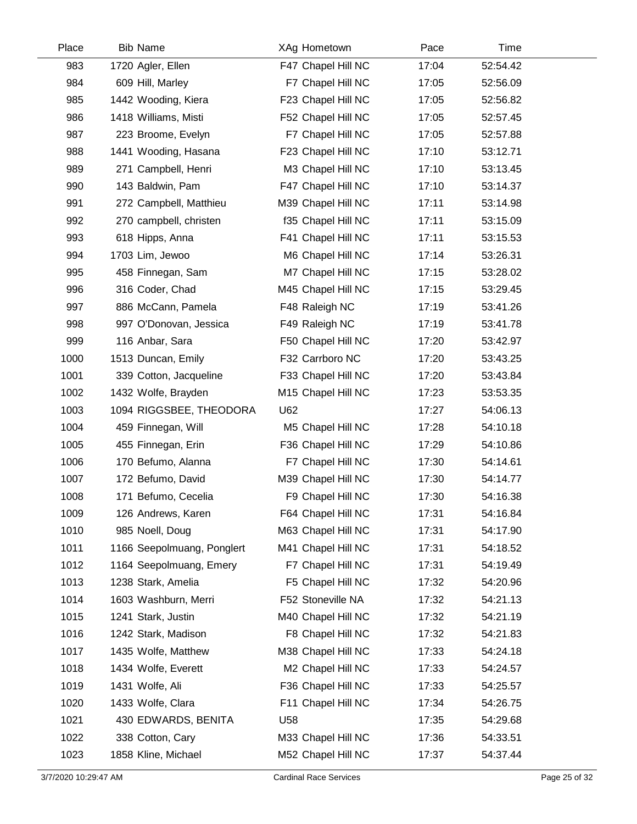| Place | <b>Bib Name</b>            |     | XAg Hometown       | Pace  | Time     |  |
|-------|----------------------------|-----|--------------------|-------|----------|--|
| 983   | 1720 Agler, Ellen          |     | F47 Chapel Hill NC | 17:04 | 52:54.42 |  |
| 984   | 609 Hill, Marley           |     | F7 Chapel Hill NC  | 17:05 | 52:56.09 |  |
| 985   | 1442 Wooding, Kiera        |     | F23 Chapel Hill NC | 17:05 | 52:56.82 |  |
| 986   | 1418 Williams, Misti       |     | F52 Chapel Hill NC | 17:05 | 52:57.45 |  |
| 987   | 223 Broome, Evelyn         |     | F7 Chapel Hill NC  | 17:05 | 52:57.88 |  |
| 988   | 1441 Wooding, Hasana       |     | F23 Chapel Hill NC | 17:10 | 53:12.71 |  |
| 989   | 271 Campbell, Henri        |     | M3 Chapel Hill NC  | 17:10 | 53:13.45 |  |
| 990   | 143 Baldwin, Pam           |     | F47 Chapel Hill NC | 17:10 | 53:14.37 |  |
| 991   | 272 Campbell, Matthieu     |     | M39 Chapel Hill NC | 17:11 | 53:14.98 |  |
| 992   | 270 campbell, christen     |     | f35 Chapel Hill NC | 17:11 | 53:15.09 |  |
| 993   | 618 Hipps, Anna            |     | F41 Chapel Hill NC | 17:11 | 53:15.53 |  |
| 994   | 1703 Lim, Jewoo            |     | M6 Chapel Hill NC  | 17:14 | 53:26.31 |  |
| 995   | 458 Finnegan, Sam          |     | M7 Chapel Hill NC  | 17:15 | 53:28.02 |  |
| 996   | 316 Coder, Chad            |     | M45 Chapel Hill NC | 17:15 | 53:29.45 |  |
| 997   | 886 McCann, Pamela         |     | F48 Raleigh NC     | 17:19 | 53:41.26 |  |
| 998   | 997 O'Donovan, Jessica     |     | F49 Raleigh NC     | 17:19 | 53:41.78 |  |
| 999   | 116 Anbar, Sara            |     | F50 Chapel Hill NC | 17:20 | 53:42.97 |  |
| 1000  | 1513 Duncan, Emily         |     | F32 Carrboro NC    | 17:20 | 53:43.25 |  |
| 1001  | 339 Cotton, Jacqueline     |     | F33 Chapel Hill NC | 17:20 | 53:43.84 |  |
| 1002  | 1432 Wolfe, Brayden        |     | M15 Chapel Hill NC | 17:23 | 53:53.35 |  |
| 1003  | 1094 RIGGSBEE, THEODORA    | U62 |                    | 17:27 | 54:06.13 |  |
| 1004  | 459 Finnegan, Will         |     | M5 Chapel Hill NC  | 17:28 | 54:10.18 |  |
| 1005  | 455 Finnegan, Erin         |     | F36 Chapel Hill NC | 17:29 | 54:10.86 |  |
| 1006  | 170 Befumo, Alanna         |     | F7 Chapel Hill NC  | 17:30 | 54:14.61 |  |
| 1007  | 172 Befumo, David          |     | M39 Chapel Hill NC | 17:30 | 54:14.77 |  |
| 1008  | 171 Befumo, Cecelia        |     | F9 Chapel Hill NC  | 17:30 | 54:16.38 |  |
| 1009  | 126 Andrews, Karen         |     | F64 Chapel Hill NC | 17:31 | 54:16.84 |  |
| 1010  | 985 Noell, Doug            |     | M63 Chapel Hill NC | 17:31 | 54:17.90 |  |
| 1011  | 1166 Seepolmuang, Ponglert |     | M41 Chapel Hill NC | 17:31 | 54:18.52 |  |
| 1012  | 1164 Seepolmuang, Emery    |     | F7 Chapel Hill NC  | 17:31 | 54:19.49 |  |
| 1013  | 1238 Stark, Amelia         |     | F5 Chapel Hill NC  | 17:32 | 54:20.96 |  |
| 1014  | 1603 Washburn, Merri       |     | F52 Stoneville NA  | 17:32 | 54:21.13 |  |
| 1015  | 1241 Stark, Justin         |     | M40 Chapel Hill NC | 17:32 | 54:21.19 |  |
| 1016  | 1242 Stark, Madison        |     | F8 Chapel Hill NC  | 17:32 | 54:21.83 |  |
| 1017  | 1435 Wolfe, Matthew        |     | M38 Chapel Hill NC | 17:33 | 54:24.18 |  |
| 1018  | 1434 Wolfe, Everett        |     | M2 Chapel Hill NC  | 17:33 | 54:24.57 |  |
| 1019  | 1431 Wolfe, Ali            |     | F36 Chapel Hill NC | 17:33 | 54:25.57 |  |
| 1020  | 1433 Wolfe, Clara          |     | F11 Chapel Hill NC | 17:34 | 54:26.75 |  |
| 1021  | 430 EDWARDS, BENITA        | U58 |                    | 17:35 | 54:29.68 |  |
| 1022  | 338 Cotton, Cary           |     | M33 Chapel Hill NC | 17:36 | 54:33.51 |  |
| 1023  | 1858 Kline, Michael        |     | M52 Chapel Hill NC | 17:37 | 54:37.44 |  |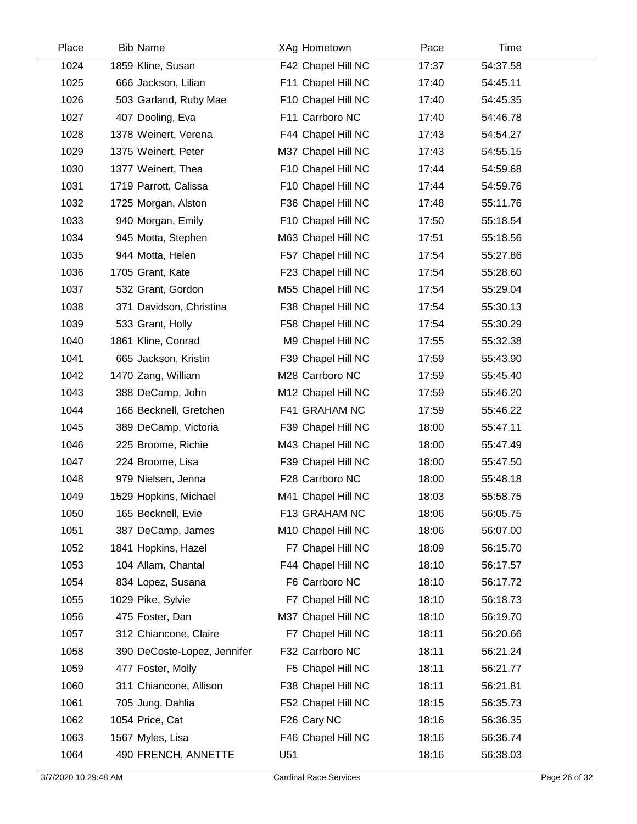| Place | <b>Bib Name</b>             | XAg Hometown       | Pace  | Time     |  |
|-------|-----------------------------|--------------------|-------|----------|--|
| 1024  | 1859 Kline, Susan           | F42 Chapel Hill NC | 17:37 | 54:37.58 |  |
| 1025  | 666 Jackson, Lilian         | F11 Chapel Hill NC | 17:40 | 54:45.11 |  |
| 1026  | 503 Garland, Ruby Mae       | F10 Chapel Hill NC | 17:40 | 54:45.35 |  |
| 1027  | 407 Dooling, Eva            | F11 Carrboro NC    | 17:40 | 54:46.78 |  |
| 1028  | 1378 Weinert, Verena        | F44 Chapel Hill NC | 17:43 | 54:54.27 |  |
| 1029  | 1375 Weinert, Peter         | M37 Chapel Hill NC | 17:43 | 54:55.15 |  |
| 1030  | 1377 Weinert, Thea          | F10 Chapel Hill NC | 17:44 | 54:59.68 |  |
| 1031  | 1719 Parrott, Calissa       | F10 Chapel Hill NC | 17:44 | 54:59.76 |  |
| 1032  | 1725 Morgan, Alston         | F36 Chapel Hill NC | 17:48 | 55:11.76 |  |
| 1033  | 940 Morgan, Emily           | F10 Chapel Hill NC | 17:50 | 55:18.54 |  |
| 1034  | 945 Motta, Stephen          | M63 Chapel Hill NC | 17:51 | 55:18.56 |  |
| 1035  | 944 Motta, Helen            | F57 Chapel Hill NC | 17:54 | 55:27.86 |  |
| 1036  | 1705 Grant, Kate            | F23 Chapel Hill NC | 17:54 | 55:28.60 |  |
| 1037  | 532 Grant, Gordon           | M55 Chapel Hill NC | 17:54 | 55:29.04 |  |
| 1038  | 371 Davidson, Christina     | F38 Chapel Hill NC | 17:54 | 55:30.13 |  |
| 1039  | 533 Grant, Holly            | F58 Chapel Hill NC | 17:54 | 55:30.29 |  |
| 1040  | 1861 Kline, Conrad          | M9 Chapel Hill NC  | 17:55 | 55:32.38 |  |
| 1041  | 665 Jackson, Kristin        | F39 Chapel Hill NC | 17:59 | 55:43.90 |  |
| 1042  | 1470 Zang, William          | M28 Carrboro NC    | 17:59 | 55:45.40 |  |
| 1043  | 388 DeCamp, John            | M12 Chapel Hill NC | 17:59 | 55:46.20 |  |
| 1044  | 166 Becknell, Gretchen      | F41 GRAHAM NC      | 17:59 | 55:46.22 |  |
| 1045  | 389 DeCamp, Victoria        | F39 Chapel Hill NC | 18:00 | 55:47.11 |  |
| 1046  | 225 Broome, Richie          | M43 Chapel Hill NC | 18:00 | 55:47.49 |  |
| 1047  | 224 Broome, Lisa            | F39 Chapel Hill NC | 18:00 | 55:47.50 |  |
| 1048  | 979 Nielsen, Jenna          | F28 Carrboro NC    | 18:00 | 55:48.18 |  |
| 1049  | 1529 Hopkins, Michael       | M41 Chapel Hill NC | 18:03 | 55:58.75 |  |
| 1050  | 165 Becknell, Evie          | F13 GRAHAM NC      | 18:06 | 56:05.75 |  |
| 1051  | 387 DeCamp, James           | M10 Chapel Hill NC | 18:06 | 56:07.00 |  |
| 1052  | 1841 Hopkins, Hazel         | F7 Chapel Hill NC  | 18:09 | 56:15.70 |  |
| 1053  | 104 Allam, Chantal          | F44 Chapel Hill NC | 18:10 | 56:17.57 |  |
| 1054  | 834 Lopez, Susana           | F6 Carrboro NC     | 18:10 | 56:17.72 |  |
| 1055  | 1029 Pike, Sylvie           | F7 Chapel Hill NC  | 18:10 | 56:18.73 |  |
| 1056  | 475 Foster, Dan             | M37 Chapel Hill NC | 18:10 | 56:19.70 |  |
| 1057  | 312 Chiancone, Claire       | F7 Chapel Hill NC  | 18:11 | 56:20.66 |  |
| 1058  | 390 DeCoste-Lopez, Jennifer | F32 Carrboro NC    | 18:11 | 56:21.24 |  |
| 1059  | 477 Foster, Molly           | F5 Chapel Hill NC  | 18:11 | 56:21.77 |  |
| 1060  | 311 Chiancone, Allison      | F38 Chapel Hill NC | 18:11 | 56:21.81 |  |
| 1061  | 705 Jung, Dahlia            | F52 Chapel Hill NC | 18:15 | 56:35.73 |  |
| 1062  | 1054 Price, Cat             | F26 Cary NC        | 18:16 | 56:36.35 |  |
| 1063  | 1567 Myles, Lisa            | F46 Chapel Hill NC | 18:16 | 56:36.74 |  |
| 1064  | 490 FRENCH, ANNETTE         | U51                | 18:16 | 56:38.03 |  |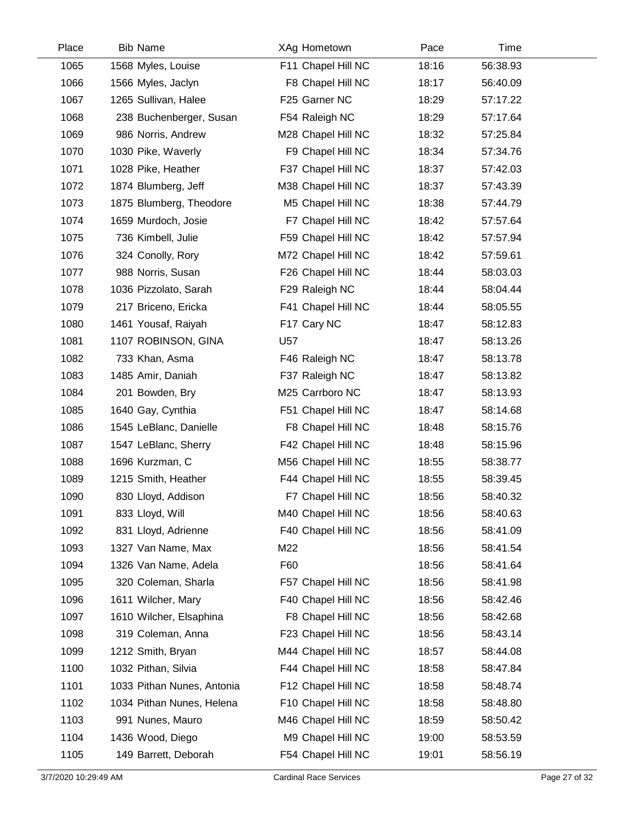| Place | <b>Bib Name</b>            | XAg Hometown       | Pace  | Time     |  |
|-------|----------------------------|--------------------|-------|----------|--|
| 1065  | 1568 Myles, Louise         | F11 Chapel Hill NC | 18:16 | 56:38.93 |  |
| 1066  | 1566 Myles, Jaclyn         | F8 Chapel Hill NC  | 18:17 | 56:40.09 |  |
| 1067  | 1265 Sullivan, Halee       | F25 Garner NC      | 18:29 | 57:17.22 |  |
| 1068  | 238 Buchenberger, Susan    | F54 Raleigh NC     | 18:29 | 57:17.64 |  |
| 1069  | 986 Norris, Andrew         | M28 Chapel Hill NC | 18:32 | 57:25.84 |  |
| 1070  | 1030 Pike, Waverly         | F9 Chapel Hill NC  | 18:34 | 57:34.76 |  |
| 1071  | 1028 Pike, Heather         | F37 Chapel Hill NC | 18:37 | 57:42.03 |  |
| 1072  | 1874 Blumberg, Jeff        | M38 Chapel Hill NC | 18:37 | 57:43.39 |  |
| 1073  | 1875 Blumberg, Theodore    | M5 Chapel Hill NC  | 18:38 | 57:44.79 |  |
| 1074  | 1659 Murdoch, Josie        | F7 Chapel Hill NC  | 18:42 | 57:57.64 |  |
| 1075  | 736 Kimbell, Julie         | F59 Chapel Hill NC | 18:42 | 57:57.94 |  |
| 1076  | 324 Conolly, Rory          | M72 Chapel Hill NC | 18:42 | 57:59.61 |  |
| 1077  | 988 Norris, Susan          | F26 Chapel Hill NC | 18:44 | 58:03.03 |  |
| 1078  | 1036 Pizzolato, Sarah      | F29 Raleigh NC     | 18:44 | 58:04.44 |  |
| 1079  | 217 Briceno, Ericka        | F41 Chapel Hill NC | 18:44 | 58:05.55 |  |
| 1080  | 1461 Yousaf, Raiyah        | F17 Cary NC        | 18:47 | 58:12.83 |  |
| 1081  | 1107 ROBINSON, GINA        | U57                | 18:47 | 58:13.26 |  |
| 1082  | 733 Khan, Asma             | F46 Raleigh NC     | 18:47 | 58:13.78 |  |
| 1083  | 1485 Amir, Daniah          | F37 Raleigh NC     | 18:47 | 58:13.82 |  |
| 1084  | 201 Bowden, Bry            | M25 Carrboro NC    | 18:47 | 58:13.93 |  |
| 1085  | 1640 Gay, Cynthia          | F51 Chapel Hill NC | 18:47 | 58:14.68 |  |
| 1086  | 1545 LeBlanc, Danielle     | F8 Chapel Hill NC  | 18:48 | 58:15.76 |  |
| 1087  | 1547 LeBlanc, Sherry       | F42 Chapel Hill NC | 18:48 | 58:15.96 |  |
| 1088  | 1696 Kurzman, C            | M56 Chapel Hill NC | 18:55 | 58:38.77 |  |
| 1089  | 1215 Smith, Heather        | F44 Chapel Hill NC | 18:55 | 58:39.45 |  |
| 1090  | 830 Lloyd, Addison         | F7 Chapel Hill NC  | 18:56 | 58:40.32 |  |
| 1091  | 833 Lloyd, Will            | M40 Chapel Hill NC | 18:56 | 58:40.63 |  |
| 1092  | 831 Lloyd, Adrienne        | F40 Chapel Hill NC | 18:56 | 58:41.09 |  |
| 1093  | 1327 Van Name, Max         | M22                | 18:56 | 58:41.54 |  |
| 1094  | 1326 Van Name, Adela       | F60                | 18:56 | 58:41.64 |  |
| 1095  | 320 Coleman, Sharla        | F57 Chapel Hill NC | 18:56 | 58:41.98 |  |
| 1096  | 1611 Wilcher, Mary         | F40 Chapel Hill NC | 18:56 | 58:42.46 |  |
| 1097  | 1610 Wilcher, Elsaphina    | F8 Chapel Hill NC  | 18:56 | 58:42.68 |  |
| 1098  | 319 Coleman, Anna          | F23 Chapel Hill NC | 18:56 | 58:43.14 |  |
| 1099  | 1212 Smith, Bryan          | M44 Chapel Hill NC | 18:57 | 58:44.08 |  |
| 1100  | 1032 Pithan, Silvia        | F44 Chapel Hill NC | 18:58 | 58:47.84 |  |
| 1101  | 1033 Pithan Nunes, Antonia | F12 Chapel Hill NC | 18:58 | 58:48.74 |  |
| 1102  | 1034 Pithan Nunes, Helena  | F10 Chapel Hill NC | 18:58 | 58:48.80 |  |
| 1103  | 991 Nunes, Mauro           | M46 Chapel Hill NC | 18:59 | 58:50.42 |  |
| 1104  | 1436 Wood, Diego           | M9 Chapel Hill NC  | 19:00 | 58:53.59 |  |
| 1105  | 149 Barrett, Deborah       | F54 Chapel Hill NC | 19:01 | 58:56.19 |  |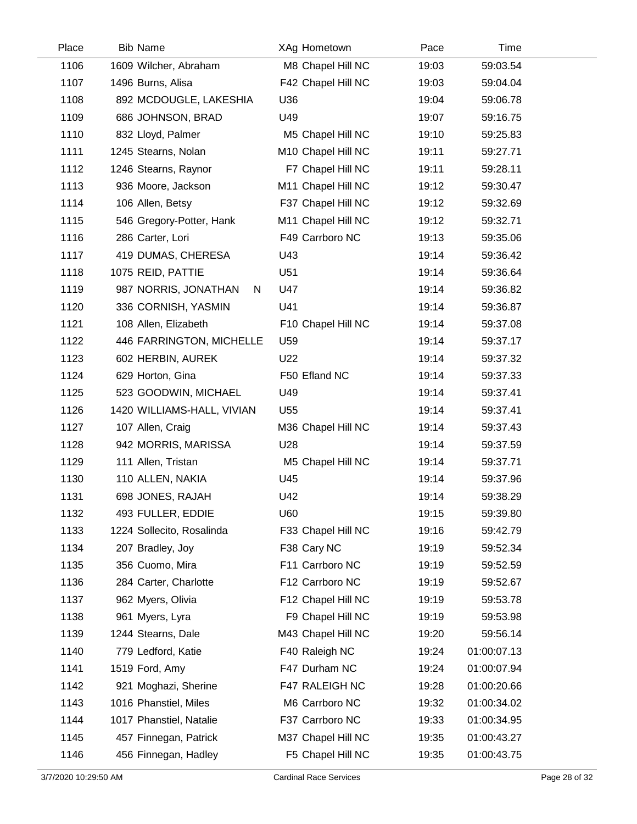| Place | <b>Bib Name</b>            | XAg Hometown       | Pace  | Time        |  |
|-------|----------------------------|--------------------|-------|-------------|--|
| 1106  | 1609 Wilcher, Abraham      | M8 Chapel Hill NC  | 19:03 | 59:03.54    |  |
| 1107  | 1496 Burns, Alisa          | F42 Chapel Hill NC | 19:03 | 59:04.04    |  |
| 1108  | 892 MCDOUGLE, LAKESHIA     | U36                | 19:04 | 59:06.78    |  |
| 1109  | 686 JOHNSON, BRAD          | U49                | 19:07 | 59:16.75    |  |
| 1110  | 832 Lloyd, Palmer          | M5 Chapel Hill NC  | 19:10 | 59:25.83    |  |
| 1111  | 1245 Stearns, Nolan        | M10 Chapel Hill NC | 19:11 | 59:27.71    |  |
| 1112  | 1246 Stearns, Raynor       | F7 Chapel Hill NC  | 19:11 | 59:28.11    |  |
| 1113  | 936 Moore, Jackson         | M11 Chapel Hill NC | 19:12 | 59:30.47    |  |
| 1114  | 106 Allen, Betsy           | F37 Chapel Hill NC | 19:12 | 59:32.69    |  |
| 1115  | 546 Gregory-Potter, Hank   | M11 Chapel Hill NC | 19:12 | 59:32.71    |  |
| 1116  | 286 Carter, Lori           | F49 Carrboro NC    | 19:13 | 59:35.06    |  |
| 1117  | 419 DUMAS, CHERESA         | U43                | 19:14 | 59:36.42    |  |
| 1118  | 1075 REID, PATTIE          | U51                | 19:14 | 59:36.64    |  |
| 1119  | 987 NORRIS, JONATHAN<br>N. | U47                | 19:14 | 59:36.82    |  |
| 1120  | 336 CORNISH, YASMIN        | U41                | 19:14 | 59:36.87    |  |
| 1121  | 108 Allen, Elizabeth       | F10 Chapel Hill NC | 19:14 | 59:37.08    |  |
| 1122  | 446 FARRINGTON, MICHELLE   | U59                | 19:14 | 59:37.17    |  |
| 1123  | 602 HERBIN, AUREK          | U22                | 19:14 | 59:37.32    |  |
| 1124  | 629 Horton, Gina           | F50 Efland NC      | 19:14 | 59:37.33    |  |
| 1125  | 523 GOODWIN, MICHAEL       | U49                | 19:14 | 59:37.41    |  |
| 1126  | 1420 WILLIAMS-HALL, VIVIAN | U <sub>55</sub>    | 19:14 | 59:37.41    |  |
| 1127  | 107 Allen, Craig           | M36 Chapel Hill NC | 19:14 | 59:37.43    |  |
| 1128  | 942 MORRIS, MARISSA        | U28                | 19:14 | 59:37.59    |  |
| 1129  | 111 Allen, Tristan         | M5 Chapel Hill NC  | 19:14 | 59:37.71    |  |
| 1130  | 110 ALLEN, NAKIA           | U45                | 19:14 | 59:37.96    |  |
| 1131  | 698 JONES, RAJAH           | U42                | 19:14 | 59:38.29    |  |
| 1132  | 493 FULLER, EDDIE          | U60                | 19:15 | 59:39.80    |  |
| 1133  | 1224 Sollecito, Rosalinda  | F33 Chapel Hill NC | 19:16 | 59:42.79    |  |
| 1134  | 207 Bradley, Joy           | F38 Cary NC        | 19:19 | 59:52.34    |  |
| 1135  | 356 Cuomo, Mira            | F11 Carrboro NC    | 19:19 | 59:52.59    |  |
| 1136  | 284 Carter, Charlotte      | F12 Carrboro NC    | 19:19 | 59:52.67    |  |
| 1137  | 962 Myers, Olivia          | F12 Chapel Hill NC | 19:19 | 59:53.78    |  |
| 1138  | 961 Myers, Lyra            | F9 Chapel Hill NC  | 19:19 | 59:53.98    |  |
| 1139  | 1244 Stearns, Dale         | M43 Chapel Hill NC | 19:20 | 59:56.14    |  |
| 1140  | 779 Ledford, Katie         | F40 Raleigh NC     | 19:24 | 01:00:07.13 |  |
| 1141  | 1519 Ford, Amy             | F47 Durham NC      | 19:24 | 01:00:07.94 |  |
| 1142  | 921 Moghazi, Sherine       | F47 RALEIGH NC     | 19:28 | 01:00:20.66 |  |
| 1143  | 1016 Phanstiel, Miles      | M6 Carrboro NC     | 19:32 | 01:00:34.02 |  |
| 1144  | 1017 Phanstiel, Natalie    | F37 Carrboro NC    | 19:33 | 01:00:34.95 |  |
| 1145  | 457 Finnegan, Patrick      | M37 Chapel Hill NC | 19:35 | 01:00:43.27 |  |
| 1146  | 456 Finnegan, Hadley       | F5 Chapel Hill NC  | 19:35 | 01:00:43.75 |  |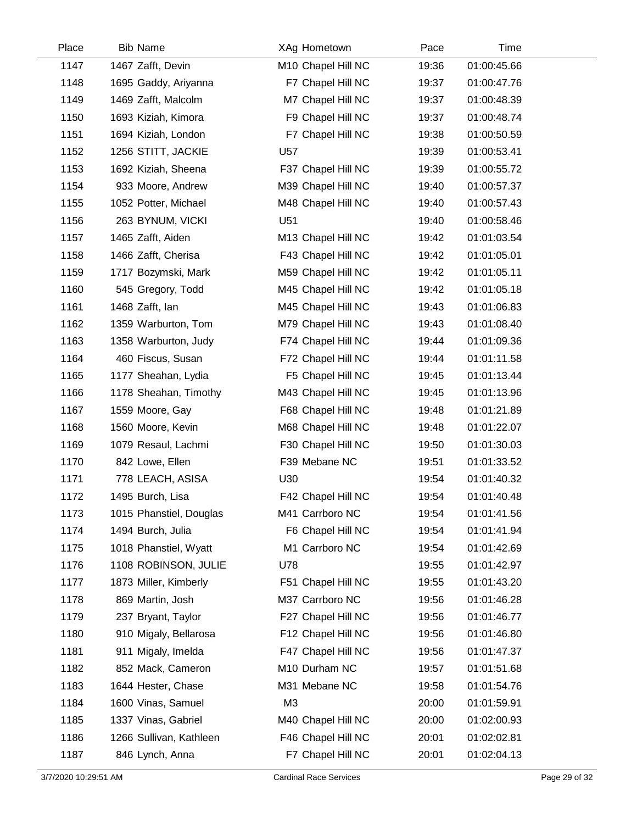| Place | <b>Bib Name</b>         | XAg Hometown       | Pace  | Time        |
|-------|-------------------------|--------------------|-------|-------------|
| 1147  | 1467 Zafft, Devin       | M10 Chapel Hill NC | 19:36 | 01:00:45.66 |
| 1148  | 1695 Gaddy, Ariyanna    | F7 Chapel Hill NC  | 19:37 | 01:00:47.76 |
| 1149  | 1469 Zafft, Malcolm     | M7 Chapel Hill NC  | 19:37 | 01:00:48.39 |
| 1150  | 1693 Kiziah, Kimora     | F9 Chapel Hill NC  | 19:37 | 01:00:48.74 |
| 1151  | 1694 Kiziah, London     | F7 Chapel Hill NC  | 19:38 | 01:00:50.59 |
| 1152  | 1256 STITT, JACKIE      | U57                | 19:39 | 01:00:53.41 |
| 1153  | 1692 Kiziah, Sheena     | F37 Chapel Hill NC | 19:39 | 01:00:55.72 |
| 1154  | 933 Moore, Andrew       | M39 Chapel Hill NC | 19:40 | 01:00:57.37 |
| 1155  | 1052 Potter, Michael    | M48 Chapel Hill NC | 19:40 | 01:00:57.43 |
| 1156  | 263 BYNUM, VICKI        | U51                | 19:40 | 01:00:58.46 |
| 1157  | 1465 Zafft, Aiden       | M13 Chapel Hill NC | 19:42 | 01:01:03.54 |
| 1158  | 1466 Zafft, Cherisa     | F43 Chapel Hill NC | 19:42 | 01:01:05.01 |
| 1159  | 1717 Bozymski, Mark     | M59 Chapel Hill NC | 19:42 | 01:01:05.11 |
| 1160  | 545 Gregory, Todd       | M45 Chapel Hill NC | 19:42 | 01:01:05.18 |
| 1161  | 1468 Zafft, lan         | M45 Chapel Hill NC | 19:43 | 01:01:06.83 |
| 1162  | 1359 Warburton, Tom     | M79 Chapel Hill NC | 19:43 | 01:01:08.40 |
| 1163  | 1358 Warburton, Judy    | F74 Chapel Hill NC | 19:44 | 01:01:09.36 |
| 1164  | 460 Fiscus, Susan       | F72 Chapel Hill NC | 19:44 | 01:01:11.58 |
| 1165  | 1177 Sheahan, Lydia     | F5 Chapel Hill NC  | 19:45 | 01:01:13.44 |
| 1166  | 1178 Sheahan, Timothy   | M43 Chapel Hill NC | 19:45 | 01:01:13.96 |
| 1167  | 1559 Moore, Gay         | F68 Chapel Hill NC | 19:48 | 01:01:21.89 |
| 1168  | 1560 Moore, Kevin       | M68 Chapel Hill NC | 19:48 | 01:01:22.07 |
| 1169  | 1079 Resaul, Lachmi     | F30 Chapel Hill NC | 19:50 | 01:01:30.03 |
| 1170  | 842 Lowe, Ellen         | F39 Mebane NC      | 19:51 | 01:01:33.52 |
| 1171  | 778 LEACH, ASISA        | U30                | 19:54 | 01:01:40.32 |
| 1172  | 1495 Burch, Lisa        | F42 Chapel Hill NC | 19:54 | 01:01:40.48 |
| 1173  | 1015 Phanstiel, Douglas | M41 Carrboro NC    | 19:54 | 01:01:41.56 |
| 1174  | 1494 Burch, Julia       | F6 Chapel Hill NC  | 19:54 | 01:01:41.94 |
| 1175  | 1018 Phanstiel, Wyatt   | M1 Carrboro NC     | 19:54 | 01:01:42.69 |
| 1176  | 1108 ROBINSON, JULIE    | U78                | 19:55 | 01:01:42.97 |
| 1177  | 1873 Miller, Kimberly   | F51 Chapel Hill NC | 19:55 | 01:01:43.20 |
| 1178  | 869 Martin, Josh        | M37 Carrboro NC    | 19:56 | 01:01:46.28 |
| 1179  | 237 Bryant, Taylor      | F27 Chapel Hill NC | 19:56 | 01:01:46.77 |
| 1180  | 910 Migaly, Bellarosa   | F12 Chapel Hill NC | 19:56 | 01:01:46.80 |
| 1181  | 911 Migaly, Imelda      | F47 Chapel Hill NC | 19:56 | 01:01:47.37 |
| 1182  | 852 Mack, Cameron       | M10 Durham NC      | 19:57 | 01:01:51.68 |
| 1183  | 1644 Hester, Chase      | M31 Mebane NC      | 19:58 | 01:01:54.76 |
| 1184  | 1600 Vinas, Samuel      | M <sub>3</sub>     | 20:00 | 01:01:59.91 |
| 1185  | 1337 Vinas, Gabriel     | M40 Chapel Hill NC | 20:00 | 01:02:00.93 |
| 1186  | 1266 Sullivan, Kathleen | F46 Chapel Hill NC | 20:01 | 01:02:02.81 |
| 1187  | 846 Lynch, Anna         | F7 Chapel Hill NC  | 20:01 | 01:02:04.13 |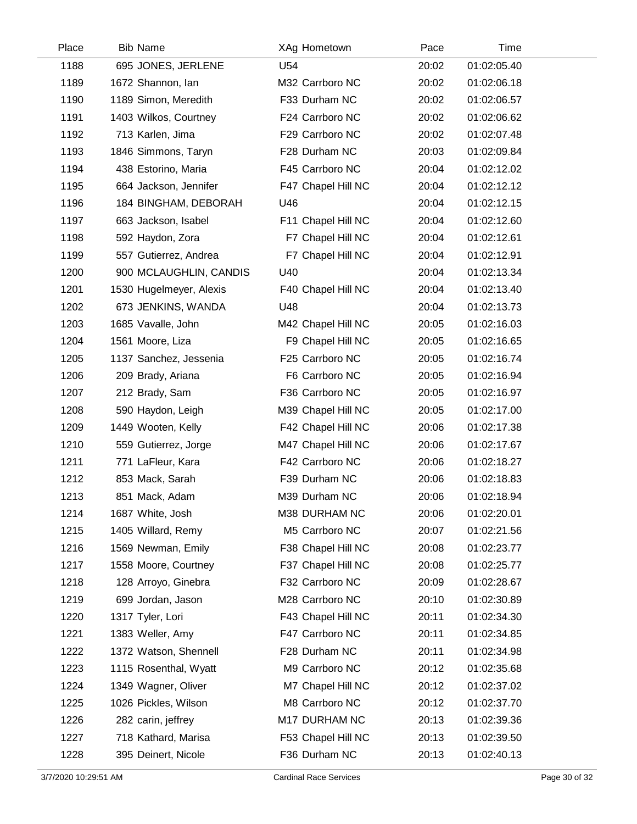| Place | <b>Bib Name</b>         | XAg Hometown       | Pace  | Time        |  |
|-------|-------------------------|--------------------|-------|-------------|--|
| 1188  | 695 JONES, JERLENE      | U54                | 20:02 | 01:02:05.40 |  |
| 1189  | 1672 Shannon, Ian       | M32 Carrboro NC    | 20:02 | 01:02:06.18 |  |
| 1190  | 1189 Simon, Meredith    | F33 Durham NC      | 20:02 | 01:02:06.57 |  |
| 1191  | 1403 Wilkos, Courtney   | F24 Carrboro NC    | 20:02 | 01:02:06.62 |  |
| 1192  | 713 Karlen, Jima        | F29 Carrboro NC    | 20:02 | 01:02:07.48 |  |
| 1193  | 1846 Simmons, Taryn     | F28 Durham NC      | 20:03 | 01:02:09.84 |  |
| 1194  | 438 Estorino, Maria     | F45 Carrboro NC    | 20:04 | 01:02:12.02 |  |
| 1195  | 664 Jackson, Jennifer   | F47 Chapel Hill NC | 20:04 | 01:02:12.12 |  |
| 1196  | 184 BINGHAM, DEBORAH    | U46                | 20:04 | 01:02:12.15 |  |
| 1197  | 663 Jackson, Isabel     | F11 Chapel Hill NC | 20:04 | 01:02:12.60 |  |
| 1198  | 592 Haydon, Zora        | F7 Chapel Hill NC  | 20:04 | 01:02:12.61 |  |
| 1199  | 557 Gutierrez, Andrea   | F7 Chapel Hill NC  | 20:04 | 01:02:12.91 |  |
| 1200  | 900 MCLAUGHLIN, CANDIS  | U40                | 20:04 | 01:02:13.34 |  |
| 1201  | 1530 Hugelmeyer, Alexis | F40 Chapel Hill NC | 20:04 | 01:02:13.40 |  |
| 1202  | 673 JENKINS, WANDA      | U48                | 20:04 | 01:02:13.73 |  |
| 1203  | 1685 Vavalle, John      | M42 Chapel Hill NC | 20:05 | 01:02:16.03 |  |
| 1204  | 1561 Moore, Liza        | F9 Chapel Hill NC  | 20:05 | 01:02:16.65 |  |
| 1205  | 1137 Sanchez, Jessenia  | F25 Carrboro NC    | 20:05 | 01:02:16.74 |  |
| 1206  | 209 Brady, Ariana       | F6 Carrboro NC     | 20:05 | 01:02:16.94 |  |
| 1207  | 212 Brady, Sam          | F36 Carrboro NC    | 20:05 | 01:02:16.97 |  |
| 1208  | 590 Haydon, Leigh       | M39 Chapel Hill NC | 20:05 | 01:02:17.00 |  |
| 1209  | 1449 Wooten, Kelly      | F42 Chapel Hill NC | 20:06 | 01:02:17.38 |  |
| 1210  | 559 Gutierrez, Jorge    | M47 Chapel Hill NC | 20:06 | 01:02:17.67 |  |
| 1211  | 771 LaFleur, Kara       | F42 Carrboro NC    | 20:06 | 01:02:18.27 |  |
| 1212  | 853 Mack, Sarah         | F39 Durham NC      | 20:06 | 01:02:18.83 |  |
| 1213  | 851 Mack, Adam          | M39 Durham NC      | 20:06 | 01:02:18.94 |  |
| 1214  | 1687 White, Josh        | M38 DURHAM NC      | 20:06 | 01:02:20.01 |  |
| 1215  | 1405 Willard, Remy      | M5 Carrboro NC     | 20:07 | 01:02:21.56 |  |
| 1216  | 1569 Newman, Emily      | F38 Chapel Hill NC | 20:08 | 01:02:23.77 |  |
| 1217  | 1558 Moore, Courtney    | F37 Chapel Hill NC | 20:08 | 01:02:25.77 |  |
| 1218  | 128 Arroyo, Ginebra     | F32 Carrboro NC    | 20:09 | 01:02:28.67 |  |
| 1219  | 699 Jordan, Jason       | M28 Carrboro NC    | 20:10 | 01:02:30.89 |  |
| 1220  | 1317 Tyler, Lori        | F43 Chapel Hill NC | 20:11 | 01:02:34.30 |  |
| 1221  | 1383 Weller, Amy        | F47 Carrboro NC    | 20:11 | 01:02:34.85 |  |
| 1222  | 1372 Watson, Shennell   | F28 Durham NC      | 20:11 | 01:02:34.98 |  |
| 1223  | 1115 Rosenthal, Wyatt   | M9 Carrboro NC     | 20:12 | 01:02:35.68 |  |
| 1224  | 1349 Wagner, Oliver     | M7 Chapel Hill NC  | 20:12 | 01:02:37.02 |  |
| 1225  | 1026 Pickles, Wilson    | M8 Carrboro NC     | 20:12 | 01:02:37.70 |  |
| 1226  | 282 carin, jeffrey      | M17 DURHAM NC      | 20:13 | 01:02:39.36 |  |
| 1227  | 718 Kathard, Marisa     | F53 Chapel Hill NC | 20:13 | 01:02:39.50 |  |
| 1228  | 395 Deinert, Nicole     | F36 Durham NC      | 20:13 | 01:02:40.13 |  |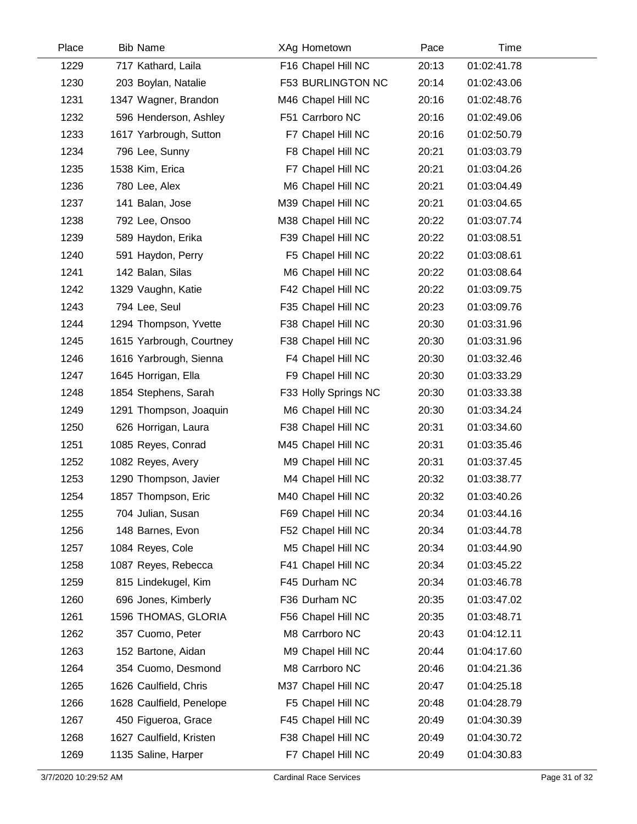| Place | <b>Bib Name</b>          | XAg Hometown         | Pace  | Time        |  |
|-------|--------------------------|----------------------|-------|-------------|--|
| 1229  | 717 Kathard, Laila       | F16 Chapel Hill NC   | 20:13 | 01:02:41.78 |  |
| 1230  | 203 Boylan, Natalie      | F53 BURLINGTON NC    | 20:14 | 01:02:43.06 |  |
| 1231  | 1347 Wagner, Brandon     | M46 Chapel Hill NC   | 20:16 | 01:02:48.76 |  |
| 1232  | 596 Henderson, Ashley    | F51 Carrboro NC      | 20:16 | 01:02:49.06 |  |
| 1233  | 1617 Yarbrough, Sutton   | F7 Chapel Hill NC    | 20:16 | 01:02:50.79 |  |
| 1234  | 796 Lee, Sunny           | F8 Chapel Hill NC    | 20:21 | 01:03:03.79 |  |
| 1235  | 1538 Kim, Erica          | F7 Chapel Hill NC    | 20:21 | 01:03:04.26 |  |
| 1236  | 780 Lee, Alex            | M6 Chapel Hill NC    | 20:21 | 01:03:04.49 |  |
| 1237  | 141 Balan, Jose          | M39 Chapel Hill NC   | 20:21 | 01:03:04.65 |  |
| 1238  | 792 Lee, Onsoo           | M38 Chapel Hill NC   | 20:22 | 01:03:07.74 |  |
| 1239  | 589 Haydon, Erika        | F39 Chapel Hill NC   | 20:22 | 01:03:08.51 |  |
| 1240  | 591 Haydon, Perry        | F5 Chapel Hill NC    | 20:22 | 01:03:08.61 |  |
| 1241  | 142 Balan, Silas         | M6 Chapel Hill NC    | 20:22 | 01:03:08.64 |  |
| 1242  | 1329 Vaughn, Katie       | F42 Chapel Hill NC   | 20:22 | 01:03:09.75 |  |
| 1243  | 794 Lee, Seul            | F35 Chapel Hill NC   | 20:23 | 01:03:09.76 |  |
| 1244  | 1294 Thompson, Yvette    | F38 Chapel Hill NC   | 20:30 | 01:03:31.96 |  |
| 1245  | 1615 Yarbrough, Courtney | F38 Chapel Hill NC   | 20:30 | 01:03:31.96 |  |
| 1246  | 1616 Yarbrough, Sienna   | F4 Chapel Hill NC    | 20:30 | 01:03:32.46 |  |
| 1247  | 1645 Horrigan, Ella      | F9 Chapel Hill NC    | 20:30 | 01:03:33.29 |  |
| 1248  | 1854 Stephens, Sarah     | F33 Holly Springs NC | 20:30 | 01:03:33.38 |  |
| 1249  | 1291 Thompson, Joaquin   | M6 Chapel Hill NC    | 20:30 | 01:03:34.24 |  |
| 1250  | 626 Horrigan, Laura      | F38 Chapel Hill NC   | 20:31 | 01:03:34.60 |  |
| 1251  | 1085 Reyes, Conrad       | M45 Chapel Hill NC   | 20:31 | 01:03:35.46 |  |
| 1252  | 1082 Reyes, Avery        | M9 Chapel Hill NC    | 20:31 | 01:03:37.45 |  |
| 1253  | 1290 Thompson, Javier    | M4 Chapel Hill NC    | 20:32 | 01:03:38.77 |  |
| 1254  | 1857 Thompson, Eric      | M40 Chapel Hill NC   | 20:32 | 01:03:40.26 |  |
| 1255  | 704 Julian, Susan        | F69 Chapel Hill NC   | 20:34 | 01:03:44.16 |  |
| 1256  | 148 Barnes, Evon         | F52 Chapel Hill NC   | 20:34 | 01:03:44.78 |  |
| 1257  | 1084 Reyes, Cole         | M5 Chapel Hill NC    | 20:34 | 01:03:44.90 |  |
| 1258  | 1087 Reyes, Rebecca      | F41 Chapel Hill NC   | 20:34 | 01:03:45.22 |  |
| 1259  | 815 Lindekugel, Kim      | F45 Durham NC        | 20:34 | 01:03:46.78 |  |
| 1260  | 696 Jones, Kimberly      | F36 Durham NC        | 20:35 | 01:03:47.02 |  |
| 1261  | 1596 THOMAS, GLORIA      | F56 Chapel Hill NC   | 20:35 | 01:03:48.71 |  |
| 1262  | 357 Cuomo, Peter         | M8 Carrboro NC       | 20:43 | 01:04:12.11 |  |
| 1263  | 152 Bartone, Aidan       | M9 Chapel Hill NC    | 20:44 | 01:04:17.60 |  |
| 1264  | 354 Cuomo, Desmond       | M8 Carrboro NC       | 20:46 | 01:04:21.36 |  |
| 1265  | 1626 Caulfield, Chris    | M37 Chapel Hill NC   | 20:47 | 01:04:25.18 |  |
| 1266  | 1628 Caulfield, Penelope | F5 Chapel Hill NC    | 20:48 | 01:04:28.79 |  |
| 1267  | 450 Figueroa, Grace      | F45 Chapel Hill NC   | 20:49 | 01:04:30.39 |  |
| 1268  | 1627 Caulfield, Kristen  | F38 Chapel Hill NC   | 20:49 | 01:04:30.72 |  |
| 1269  | 1135 Saline, Harper      | F7 Chapel Hill NC    | 20:49 | 01:04:30.83 |  |